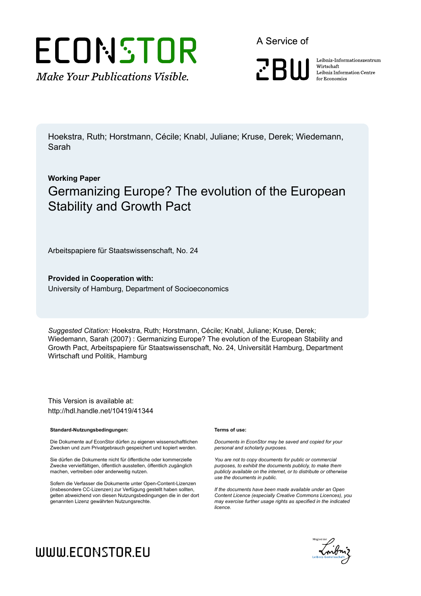

A Service of



Leibniz Informationszentrum Wirtschaft Leibniz Information Centre for Economics

Hoekstra, Ruth; Horstmann, Cécile; Knabl, Juliane; Kruse, Derek; Wiedemann, Sarah

## **Working Paper** Germanizing Europe? The evolution of the European Stability and Growth Pact

Arbeitspapiere für Staatswissenschaft, No. 24

**Provided in Cooperation with:** University of Hamburg, Department of Socioeconomics

*Suggested Citation:* Hoekstra, Ruth; Horstmann, Cécile; Knabl, Juliane; Kruse, Derek; Wiedemann, Sarah (2007) : Germanizing Europe? The evolution of the European Stability and Growth Pact, Arbeitspapiere für Staatswissenschaft, No. 24, Universität Hamburg, Department Wirtschaft und Politik, Hamburg

This Version is available at: http://hdl.handle.net/10419/41344

#### **Standard-Nutzungsbedingungen:**

Die Dokumente auf EconStor dürfen zu eigenen wissenschaftlichen Zwecken und zum Privatgebrauch gespeichert und kopiert werden.

Sie dürfen die Dokumente nicht für öffentliche oder kommerzielle Zwecke vervielfältigen, öffentlich ausstellen, öffentlich zugänglich machen, vertreiben oder anderweitig nutzen.

Sofern die Verfasser die Dokumente unter Open-Content-Lizenzen (insbesondere CC-Lizenzen) zur Verfügung gestellt haben sollten, gelten abweichend von diesen Nutzungsbedingungen die in der dort genannten Lizenz gewährten Nutzungsrechte.

#### **Terms of use:**

*Documents in EconStor may be saved and copied for your personal and scholarly purposes.*

*You are not to copy documents for public or commercial purposes, to exhibit the documents publicly, to make them publicly available on the internet, or to distribute or otherwise use the documents in public.*

*If the documents have been made available under an Open Content Licence (especially Creative Commons Licences), you may exercise further usage rights as specified in the indicated licence.*



# WWW.ECONSTOR.EU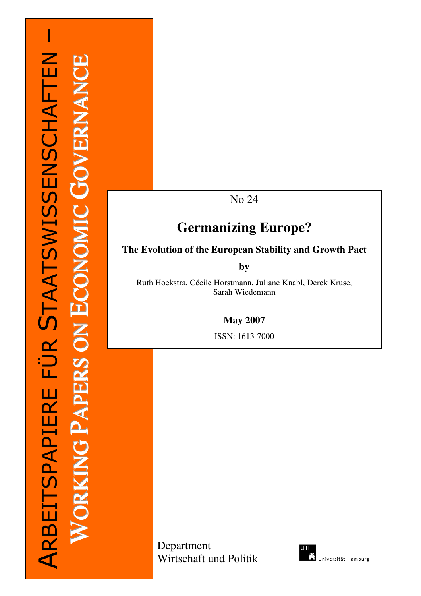# –STAATSWISSENSCHAFTEN ARBEITSPAPIERE FÜR STAATSWISSENSCHAFTEN E $\bigcup$ Z AZ **RA**  $\mathbf \Xi$  $\blacktriangleright$ OG $\bigcup$  $\equiv$ MOZ O $\bigcup$  $\mathbf \Xi$ Z ARBEITSPAPIERE FÜR O**UD RA**  $\mathbf \Xi$  $\mathbf{\Omega}$ A**P**  $\bigcirc$ Z  $\equiv$ K**RA** OW

No 24

# **Germanizing Europe?**

### **The Evolution of the European Stability and Growth Pact**

**by** 

Ruth Hoekstra, Cécile Horstmann, Juliane Knabl, Derek Kruse, Sarah Wiedemann

**May 2007** 

ISSN: 1613-7000

Department Wirtschaft und Politik

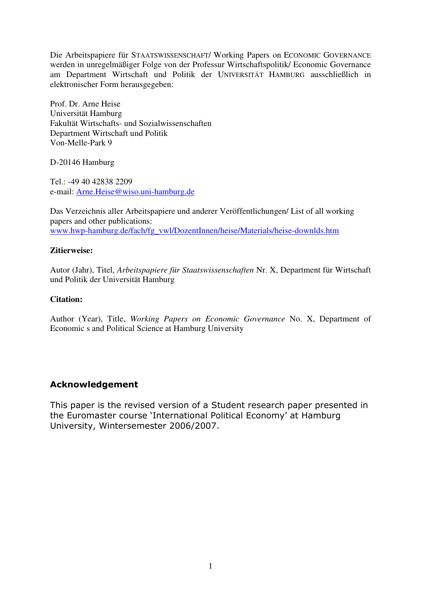Die Arbeitspapiere für STAATSWISSENSCHAFT/ Working Papers on ECONOMIC GOVERNANCE werden in unregelmäßiger Folge von der Professur Wirtschaftspolitik/ Economic Governance am Department Wirtschaft und Politik der UNIVERSITÄT HAMBURG ausschließlich in elektronischer Form herausgegeben:

Prof. Dr. Arne Heise Universität Hamburg Fakultät Wirtschafts- und Sozialwissenschaften Department Wirtschaft und Politik Von-Melle-Park 9

D-20146 Hamburg

Tel.: -49 40 42838 2209 e-mail: Arne.Heise@wiso.uni-hamburg.de

Das Verzeichnis aller Arbeitspapiere und anderer Veröffentlichungen/ List of all working papers and other publications: www.hwp-hamburg.de/fach/fg\_vwl/DozentInnen/heise/Materials/heise-downlds.htm

#### **Zitierweise:**

Autor (Jahr), Titel, *Arbeitspapiere für Staatswissenschaften* Nr. X, Department für Wirtschaft und Politik der Universität Hamburg

#### **Citation:**

Author (Year), Title, *Working Papers on Economic Governance* No. X, Department of Economic s and Political Science at Hamburg University

### Acknowledgement

This paper is the revised version of a Student research paper presented in the Euromaster course 'International Political Economy' at Hamburg University, Wintersemester 2006/2007.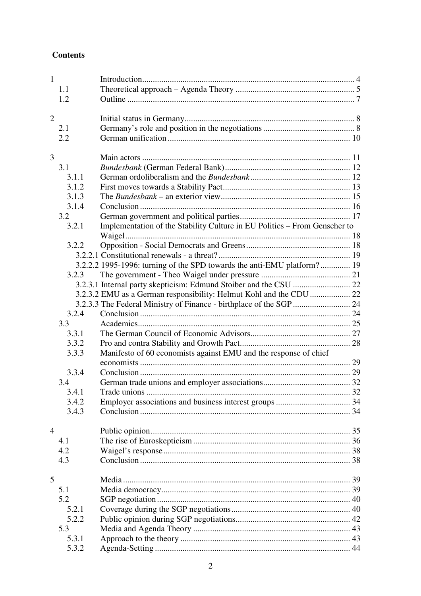### **Contents**

| $\mathbf{1}$   |       |                                                                           |  |
|----------------|-------|---------------------------------------------------------------------------|--|
|                | 1.1   |                                                                           |  |
|                | 1.2   |                                                                           |  |
|                |       |                                                                           |  |
| $\overline{2}$ |       |                                                                           |  |
|                | 2.1   |                                                                           |  |
|                | 2.2   |                                                                           |  |
|                |       |                                                                           |  |
| 3              |       |                                                                           |  |
|                | 3.1   |                                                                           |  |
|                | 3.1.1 |                                                                           |  |
|                | 3.1.2 |                                                                           |  |
|                | 3.1.3 |                                                                           |  |
|                | 3.1.4 |                                                                           |  |
|                | 3.2   |                                                                           |  |
|                | 3.2.1 | Implementation of the Stability Culture in EU Politics - From Genscher to |  |
|                |       |                                                                           |  |
|                | 3.2.2 |                                                                           |  |
|                |       |                                                                           |  |
|                |       | 3.2.2.2 1995-1996: turning of the SPD towards the anti-EMU platform? 19   |  |
|                | 3.2.3 |                                                                           |  |
|                |       |                                                                           |  |
|                |       | 3.2.3.2 EMU as a German responsibility: Helmut Kohl and the CDU  22       |  |
|                |       |                                                                           |  |
|                | 3.2.4 |                                                                           |  |
|                | 3.3   |                                                                           |  |
|                | 3.3.1 |                                                                           |  |
|                | 3.3.2 |                                                                           |  |
|                | 3.3.3 | Manifesto of 60 economists against EMU and the response of chief          |  |
|                |       |                                                                           |  |
|                | 3.3.4 |                                                                           |  |
|                | 3.4   |                                                                           |  |
|                | 3.4.1 |                                                                           |  |
|                | 3.4.2 |                                                                           |  |
|                | 3.4.3 |                                                                           |  |
| $\overline{4}$ |       |                                                                           |  |
|                | 4.1   |                                                                           |  |
|                | 4.2   |                                                                           |  |
|                | 4.3   |                                                                           |  |
|                |       |                                                                           |  |
| 5              |       |                                                                           |  |
|                | 5.1   |                                                                           |  |
|                | 5.2   |                                                                           |  |
|                | 5.2.1 |                                                                           |  |
|                | 5.2.2 |                                                                           |  |
|                | 5.3   |                                                                           |  |
|                | 5.3.1 |                                                                           |  |
|                | 5.3.2 |                                                                           |  |
|                |       |                                                                           |  |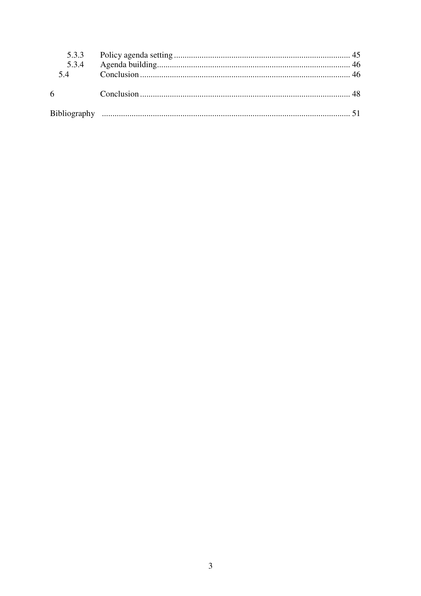| 5.3.4<br>5.4 |  |
|--------------|--|
| 6            |  |
|              |  |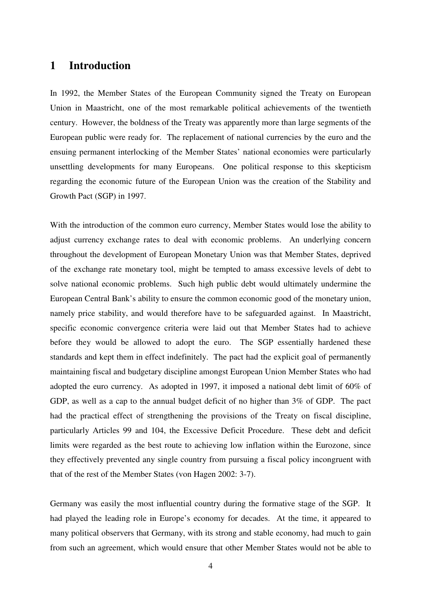### **1 Introduction**

In 1992, the Member States of the European Community signed the Treaty on European Union in Maastricht, one of the most remarkable political achievements of the twentieth century. However, the boldness of the Treaty was apparently more than large segments of the European public were ready for. The replacement of national currencies by the euro and the ensuing permanent interlocking of the Member States' national economies were particularly unsettling developments for many Europeans. One political response to this skepticism regarding the economic future of the European Union was the creation of the Stability and Growth Pact (SGP) in 1997.

With the introduction of the common euro currency, Member States would lose the ability to adjust currency exchange rates to deal with economic problems. An underlying concern throughout the development of European Monetary Union was that Member States, deprived of the exchange rate monetary tool, might be tempted to amass excessive levels of debt to solve national economic problems. Such high public debt would ultimately undermine the European Central Bank's ability to ensure the common economic good of the monetary union, namely price stability, and would therefore have to be safeguarded against. In Maastricht, specific economic convergence criteria were laid out that Member States had to achieve before they would be allowed to adopt the euro. The SGP essentially hardened these standards and kept them in effect indefinitely. The pact had the explicit goal of permanently maintaining fiscal and budgetary discipline amongst European Union Member States who had adopted the euro currency. As adopted in 1997, it imposed a national debt limit of 60% of GDP, as well as a cap to the annual budget deficit of no higher than 3% of GDP. The pact had the practical effect of strengthening the provisions of the Treaty on fiscal discipline, particularly Articles 99 and 104, the Excessive Deficit Procedure. These debt and deficit limits were regarded as the best route to achieving low inflation within the Eurozone, since they effectively prevented any single country from pursuing a fiscal policy incongruent with that of the rest of the Member States (von Hagen 2002: 3-7).

Germany was easily the most influential country during the formative stage of the SGP. It had played the leading role in Europe's economy for decades. At the time, it appeared to many political observers that Germany, with its strong and stable economy, had much to gain from such an agreement, which would ensure that other Member States would not be able to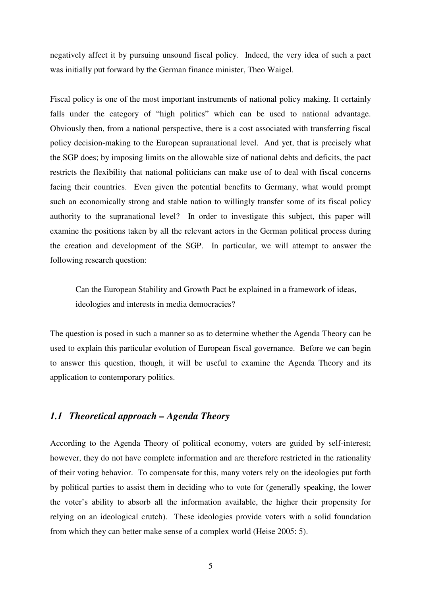negatively affect it by pursuing unsound fiscal policy. Indeed, the very idea of such a pact was initially put forward by the German finance minister, Theo Waigel.

Fiscal policy is one of the most important instruments of national policy making. It certainly falls under the category of "high politics" which can be used to national advantage. Obviously then, from a national perspective, there is a cost associated with transferring fiscal policy decision-making to the European supranational level. And yet, that is precisely what the SGP does; by imposing limits on the allowable size of national debts and deficits, the pact restricts the flexibility that national politicians can make use of to deal with fiscal concerns facing their countries. Even given the potential benefits to Germany, what would prompt such an economically strong and stable nation to willingly transfer some of its fiscal policy authority to the supranational level? In order to investigate this subject, this paper will examine the positions taken by all the relevant actors in the German political process during the creation and development of the SGP. In particular, we will attempt to answer the following research question:

Can the European Stability and Growth Pact be explained in a framework of ideas, ideologies and interests in media democracies?

The question is posed in such a manner so as to determine whether the Agenda Theory can be used to explain this particular evolution of European fiscal governance. Before we can begin to answer this question, though, it will be useful to examine the Agenda Theory and its application to contemporary politics.

### *1.1 Theoretical approach – Agenda Theory*

According to the Agenda Theory of political economy, voters are guided by self-interest; however, they do not have complete information and are therefore restricted in the rationality of their voting behavior. To compensate for this, many voters rely on the ideologies put forth by political parties to assist them in deciding who to vote for (generally speaking, the lower the voter's ability to absorb all the information available, the higher their propensity for relying on an ideological crutch). These ideologies provide voters with a solid foundation from which they can better make sense of a complex world (Heise 2005: 5).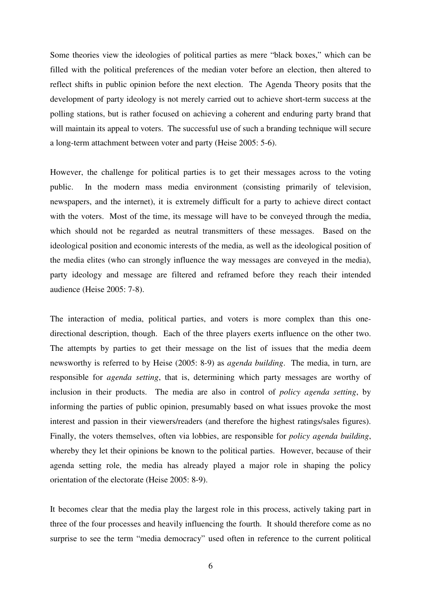Some theories view the ideologies of political parties as mere "black boxes," which can be filled with the political preferences of the median voter before an election, then altered to reflect shifts in public opinion before the next election. The Agenda Theory posits that the development of party ideology is not merely carried out to achieve short-term success at the polling stations, but is rather focused on achieving a coherent and enduring party brand that will maintain its appeal to voters. The successful use of such a branding technique will secure a long-term attachment between voter and party (Heise 2005: 5-6).

However, the challenge for political parties is to get their messages across to the voting public. In the modern mass media environment (consisting primarily of television, newspapers, and the internet), it is extremely difficult for a party to achieve direct contact with the voters. Most of the time, its message will have to be conveyed through the media, which should not be regarded as neutral transmitters of these messages. Based on the ideological position and economic interests of the media, as well as the ideological position of the media elites (who can strongly influence the way messages are conveyed in the media), party ideology and message are filtered and reframed before they reach their intended audience (Heise 2005: 7-8).

The interaction of media, political parties, and voters is more complex than this onedirectional description, though. Each of the three players exerts influence on the other two. The attempts by parties to get their message on the list of issues that the media deem newsworthy is referred to by Heise (2005: 8-9) as *agenda building*. The media, in turn, are responsible for *agenda setting*, that is, determining which party messages are worthy of inclusion in their products. The media are also in control of *policy agenda setting*, by informing the parties of public opinion, presumably based on what issues provoke the most interest and passion in their viewers/readers (and therefore the highest ratings/sales figures). Finally, the voters themselves, often via lobbies, are responsible for *policy agenda building*, whereby they let their opinions be known to the political parties. However, because of their agenda setting role, the media has already played a major role in shaping the policy orientation of the electorate (Heise 2005: 8-9).

It becomes clear that the media play the largest role in this process, actively taking part in three of the four processes and heavily influencing the fourth. It should therefore come as no surprise to see the term "media democracy" used often in reference to the current political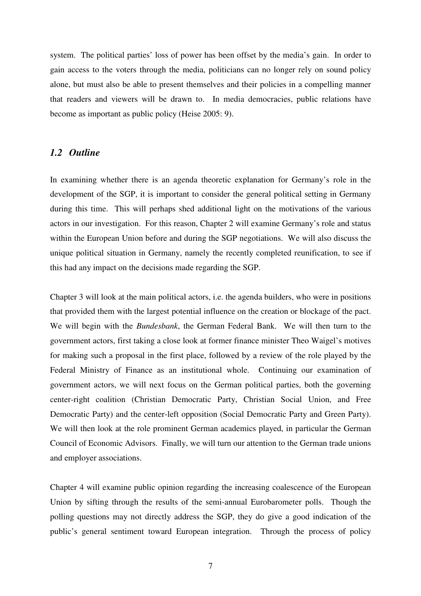system. The political parties' loss of power has been offset by the media's gain. In order to gain access to the voters through the media, politicians can no longer rely on sound policy alone, but must also be able to present themselves and their policies in a compelling manner that readers and viewers will be drawn to. In media democracies, public relations have become as important as public policy (Heise 2005: 9).

#### *1.2 Outline*

In examining whether there is an agenda theoretic explanation for Germany's role in the development of the SGP, it is important to consider the general political setting in Germany during this time. This will perhaps shed additional light on the motivations of the various actors in our investigation. For this reason, Chapter 2 will examine Germany's role and status within the European Union before and during the SGP negotiations. We will also discuss the unique political situation in Germany, namely the recently completed reunification, to see if this had any impact on the decisions made regarding the SGP.

Chapter 3 will look at the main political actors, i.e. the agenda builders, who were in positions that provided them with the largest potential influence on the creation or blockage of the pact. We will begin with the *Bundesbank*, the German Federal Bank. We will then turn to the government actors, first taking a close look at former finance minister Theo Waigel's motives for making such a proposal in the first place, followed by a review of the role played by the Federal Ministry of Finance as an institutional whole. Continuing our examination of government actors, we will next focus on the German political parties, both the governing center-right coalition (Christian Democratic Party, Christian Social Union, and Free Democratic Party) and the center-left opposition (Social Democratic Party and Green Party). We will then look at the role prominent German academics played, in particular the German Council of Economic Advisors. Finally, we will turn our attention to the German trade unions and employer associations.

Chapter 4 will examine public opinion regarding the increasing coalescence of the European Union by sifting through the results of the semi-annual Eurobarometer polls. Though the polling questions may not directly address the SGP, they do give a good indication of the public's general sentiment toward European integration. Through the process of policy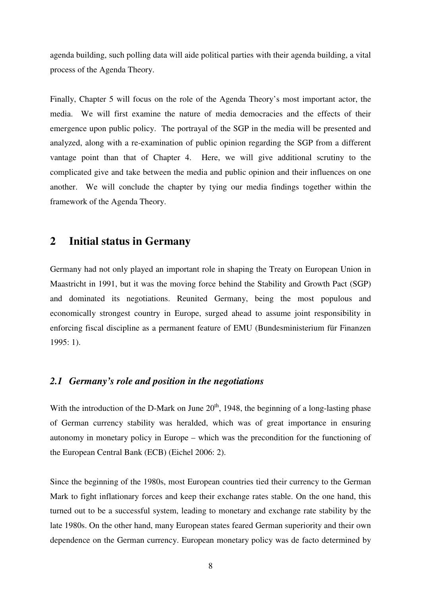agenda building, such polling data will aide political parties with their agenda building, a vital process of the Agenda Theory.

Finally, Chapter 5 will focus on the role of the Agenda Theory's most important actor, the media. We will first examine the nature of media democracies and the effects of their emergence upon public policy. The portrayal of the SGP in the media will be presented and analyzed, along with a re-examination of public opinion regarding the SGP from a different vantage point than that of Chapter 4. Here, we will give additional scrutiny to the complicated give and take between the media and public opinion and their influences on one another. We will conclude the chapter by tying our media findings together within the framework of the Agenda Theory.

### **2 Initial status in Germany**

Germany had not only played an important role in shaping the Treaty on European Union in Maastricht in 1991, but it was the moving force behind the Stability and Growth Pact (SGP) and dominated its negotiations. Reunited Germany, being the most populous and economically strongest country in Europe, surged ahead to assume joint responsibility in enforcing fiscal discipline as a permanent feature of EMU (Bundesministerium für Finanzen 1995: 1).

#### *2.1 Germany's role and position in the negotiations*

With the introduction of the D-Mark on June  $20<sup>th</sup>$ , 1948, the beginning of a long-lasting phase of German currency stability was heralded, which was of great importance in ensuring autonomy in monetary policy in Europe – which was the precondition for the functioning of the European Central Bank (ECB) (Eichel 2006: 2).

Since the beginning of the 1980s, most European countries tied their currency to the German Mark to fight inflationary forces and keep their exchange rates stable. On the one hand, this turned out to be a successful system, leading to monetary and exchange rate stability by the late 1980s. On the other hand, many European states feared German superiority and their own dependence on the German currency. European monetary policy was de facto determined by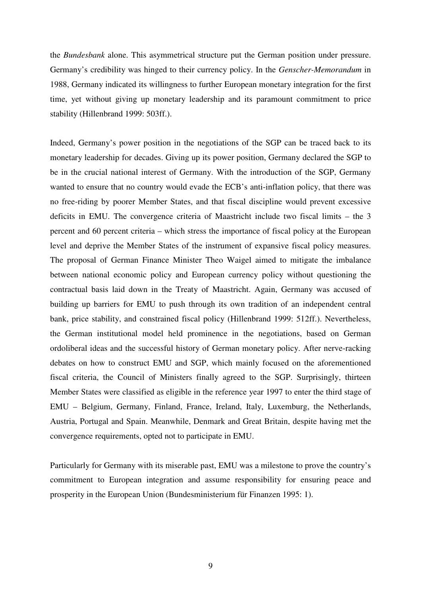the *Bundesbank* alone. This asymmetrical structure put the German position under pressure. Germany's credibility was hinged to their currency policy. In the *Genscher-Memorandum* in 1988, Germany indicated its willingness to further European monetary integration for the first time, yet without giving up monetary leadership and its paramount commitment to price stability (Hillenbrand 1999: 503ff.).

Indeed, Germany's power position in the negotiations of the SGP can be traced back to its monetary leadership for decades. Giving up its power position, Germany declared the SGP to be in the crucial national interest of Germany. With the introduction of the SGP, Germany wanted to ensure that no country would evade the ECB's anti-inflation policy, that there was no free-riding by poorer Member States, and that fiscal discipline would prevent excessive deficits in EMU. The convergence criteria of Maastricht include two fiscal limits – the 3 percent and 60 percent criteria – which stress the importance of fiscal policy at the European level and deprive the Member States of the instrument of expansive fiscal policy measures. The proposal of German Finance Minister Theo Waigel aimed to mitigate the imbalance between national economic policy and European currency policy without questioning the contractual basis laid down in the Treaty of Maastricht. Again, Germany was accused of building up barriers for EMU to push through its own tradition of an independent central bank, price stability, and constrained fiscal policy (Hillenbrand 1999: 512ff.). Nevertheless, the German institutional model held prominence in the negotiations, based on German ordoliberal ideas and the successful history of German monetary policy. After nerve-racking debates on how to construct EMU and SGP, which mainly focused on the aforementioned fiscal criteria, the Council of Ministers finally agreed to the SGP. Surprisingly, thirteen Member States were classified as eligible in the reference year 1997 to enter the third stage of EMU – Belgium, Germany, Finland, France, Ireland, Italy, Luxemburg, the Netherlands, Austria, Portugal and Spain. Meanwhile, Denmark and Great Britain, despite having met the convergence requirements, opted not to participate in EMU.

Particularly for Germany with its miserable past, EMU was a milestone to prove the country's commitment to European integration and assume responsibility for ensuring peace and prosperity in the European Union (Bundesministerium für Finanzen 1995: 1).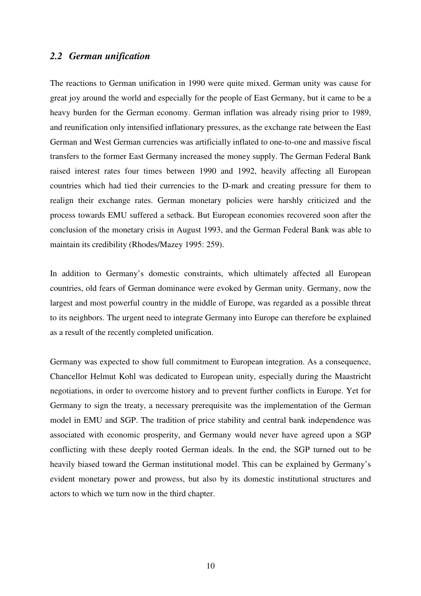### *2.2 German unification*

The reactions to German unification in 1990 were quite mixed. German unity was cause for great joy around the world and especially for the people of East Germany, but it came to be a heavy burden for the German economy. German inflation was already rising prior to 1989, and reunification only intensified inflationary pressures, as the exchange rate between the East German and West German currencies was artificially inflated to one-to-one and massive fiscal transfers to the former East Germany increased the money supply. The German Federal Bank raised interest rates four times between 1990 and 1992, heavily affecting all European countries which had tied their currencies to the D-mark and creating pressure for them to realign their exchange rates. German monetary policies were harshly criticized and the process towards EMU suffered a setback. But European economies recovered soon after the conclusion of the monetary crisis in August 1993, and the German Federal Bank was able to maintain its credibility (Rhodes/Mazey 1995: 259).

In addition to Germany's domestic constraints, which ultimately affected all European countries, old fears of German dominance were evoked by German unity. Germany, now the largest and most powerful country in the middle of Europe, was regarded as a possible threat to its neighbors. The urgent need to integrate Germany into Europe can therefore be explained as a result of the recently completed unification.

Germany was expected to show full commitment to European integration. As a consequence, Chancellor Helmut Kohl was dedicated to European unity, especially during the Maastricht negotiations, in order to overcome history and to prevent further conflicts in Europe. Yet for Germany to sign the treaty, a necessary prerequisite was the implementation of the German model in EMU and SGP. The tradition of price stability and central bank independence was associated with economic prosperity, and Germany would never have agreed upon a SGP conflicting with these deeply rooted German ideals. In the end, the SGP turned out to be heavily biased toward the German institutional model. This can be explained by Germany's evident monetary power and prowess, but also by its domestic institutional structures and actors to which we turn now in the third chapter.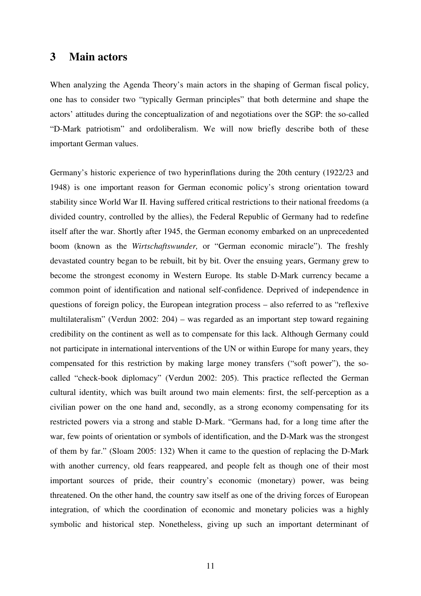### **3 Main actors**

When analyzing the Agenda Theory's main actors in the shaping of German fiscal policy, one has to consider two "typically German principles" that both determine and shape the actors' attitudes during the conceptualization of and negotiations over the SGP: the so-called "D-Mark patriotism" and ordoliberalism. We will now briefly describe both of these important German values.

Germany's historic experience of two hyperinflations during the 20th century (1922/23 and 1948) is one important reason for German economic policy's strong orientation toward stability since World War II. Having suffered critical restrictions to their national freedoms (a divided country, controlled by the allies), the Federal Republic of Germany had to redefine itself after the war. Shortly after 1945, the German economy embarked on an unprecedented boom (known as the *Wirtschaftswunder,* or "German economic miracle"). The freshly devastated country began to be rebuilt, bit by bit. Over the ensuing years, Germany grew to become the strongest economy in Western Europe. Its stable D-Mark currency became a common point of identification and national self-confidence. Deprived of independence in questions of foreign policy, the European integration process – also referred to as "reflexive multilateralism" (Verdun 2002: 204) – was regarded as an important step toward regaining credibility on the continent as well as to compensate for this lack. Although Germany could not participate in international interventions of the UN or within Europe for many years, they compensated for this restriction by making large money transfers ("soft power"), the socalled "check-book diplomacy" (Verdun 2002: 205). This practice reflected the German cultural identity, which was built around two main elements: first, the self-perception as a civilian power on the one hand and, secondly, as a strong economy compensating for its restricted powers via a strong and stable D-Mark. "Germans had, for a long time after the war, few points of orientation or symbols of identification, and the D-Mark was the strongest of them by far." (Sloam 2005: 132) When it came to the question of replacing the D-Mark with another currency, old fears reappeared, and people felt as though one of their most important sources of pride, their country's economic (monetary) power, was being threatened. On the other hand, the country saw itself as one of the driving forces of European integration, of which the coordination of economic and monetary policies was a highly symbolic and historical step. Nonetheless, giving up such an important determinant of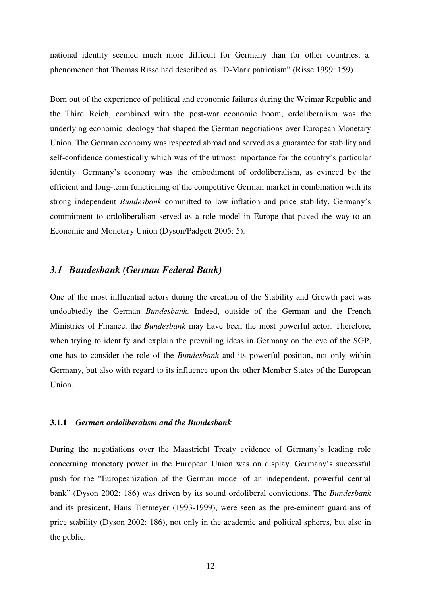national identity seemed much more difficult for Germany than for other countries, a phenomenon that Thomas Risse had described as "D-Mark patriotism" (Risse 1999: 159).

Born out of the experience of political and economic failures during the Weimar Republic and the Third Reich, combined with the post-war economic boom, ordoliberalism was the underlying economic ideology that shaped the German negotiations over European Monetary Union. The German economy was respected abroad and served as a guarantee for stability and self-confidence domestically which was of the utmost importance for the country's particular identity. Germany's economy was the embodiment of ordoliberalism, as evinced by the efficient and long-term functioning of the competitive German market in combination with its strong independent *Bundesbank* committed to low inflation and price stability. Germany's commitment to ordoliberalism served as a role model in Europe that paved the way to an Economic and Monetary Union (Dyson/Padgett 2005: 5).

#### *3.1 Bundesbank (German Federal Bank)*

One of the most influential actors during the creation of the Stability and Growth pact was undoubtedly the German *Bundesbank*. Indeed, outside of the German and the French Ministries of Finance, the *Bundesbank* may have been the most powerful actor. Therefore, when trying to identify and explain the prevailing ideas in Germany on the eve of the SGP, one has to consider the role of the *Bundesbank* and its powerful position, not only within Germany, but also with regard to its influence upon the other Member States of the European Union.

#### **3.1.1** *German ordoliberalism and the Bundesbank*

During the negotiations over the Maastricht Treaty evidence of Germany's leading role concerning monetary power in the European Union was on display. Germany's successful push for the "Europeanization of the German model of an independent, powerful central bank" (Dyson 2002: 186) was driven by its sound ordoliberal convictions. The *Bundesbank* and its president, Hans Tietmeyer (1993-1999), were seen as the pre-eminent guardians of price stability (Dyson 2002: 186), not only in the academic and political spheres, but also in the public.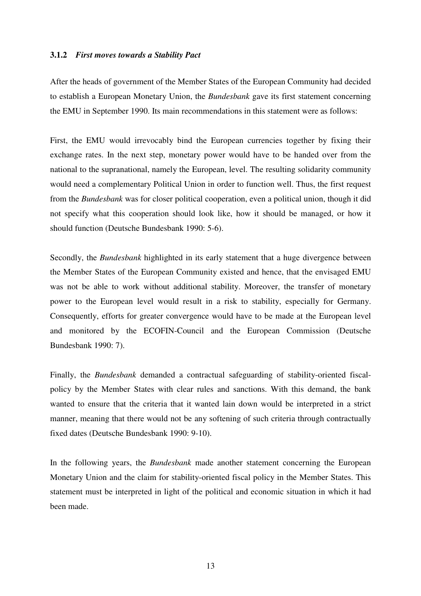#### **3.1.2** *First moves towards a Stability Pact*

After the heads of government of the Member States of the European Community had decided to establish a European Monetary Union, the *Bundesbank* gave its first statement concerning the EMU in September 1990. Its main recommendations in this statement were as follows:

First, the EMU would irrevocably bind the European currencies together by fixing their exchange rates. In the next step, monetary power would have to be handed over from the national to the supranational, namely the European, level. The resulting solidarity community would need a complementary Political Union in order to function well. Thus, the first request from the *Bundesbank* was for closer political cooperation, even a political union, though it did not specify what this cooperation should look like, how it should be managed, or how it should function (Deutsche Bundesbank 1990: 5-6).

Secondly, the *Bundesbank* highlighted in its early statement that a huge divergence between the Member States of the European Community existed and hence, that the envisaged EMU was not be able to work without additional stability. Moreover, the transfer of monetary power to the European level would result in a risk to stability, especially for Germany. Consequently, efforts for greater convergence would have to be made at the European level and monitored by the ECOFIN-Council and the European Commission (Deutsche Bundesbank 1990: 7).

Finally, the *Bundesbank* demanded a contractual safeguarding of stability-oriented fiscalpolicy by the Member States with clear rules and sanctions. With this demand, the bank wanted to ensure that the criteria that it wanted lain down would be interpreted in a strict manner, meaning that there would not be any softening of such criteria through contractually fixed dates (Deutsche Bundesbank 1990: 9-10).

In the following years, the *Bundesbank* made another statement concerning the European Monetary Union and the claim for stability-oriented fiscal policy in the Member States. This statement must be interpreted in light of the political and economic situation in which it had been made.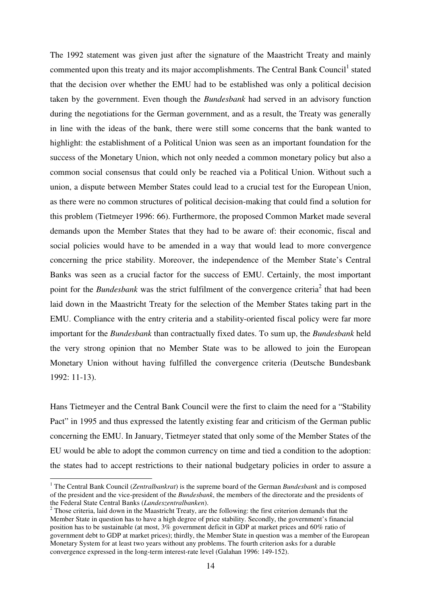The 1992 statement was given just after the signature of the Maastricht Treaty and mainly commented upon this treaty and its major accomplishments. The Central Bank Council<sup>1</sup> stated that the decision over whether the EMU had to be established was only a political decision taken by the government. Even though the *Bundesbank* had served in an advisory function during the negotiations for the German government, and as a result, the Treaty was generally in line with the ideas of the bank, there were still some concerns that the bank wanted to highlight: the establishment of a Political Union was seen as an important foundation for the success of the Monetary Union, which not only needed a common monetary policy but also a common social consensus that could only be reached via a Political Union. Without such a union, a dispute between Member States could lead to a crucial test for the European Union, as there were no common structures of political decision-making that could find a solution for this problem (Tietmeyer 1996: 66). Furthermore, the proposed Common Market made several demands upon the Member States that they had to be aware of: their economic, fiscal and social policies would have to be amended in a way that would lead to more convergence concerning the price stability. Moreover, the independence of the Member State's Central Banks was seen as a crucial factor for the success of EMU. Certainly, the most important point for the *Bundesbank* was the strict fulfilment of the convergence criteria<sup>2</sup> that had been laid down in the Maastricht Treaty for the selection of the Member States taking part in the EMU. Compliance with the entry criteria and a stability-oriented fiscal policy were far more important for the *Bundesbank* than contractually fixed dates. To sum up, the *Bundesbank* held the very strong opinion that no Member State was to be allowed to join the European Monetary Union without having fulfilled the convergence criteria (Deutsche Bundesbank 1992: 11-13).

Hans Tietmeyer and the Central Bank Council were the first to claim the need for a "Stability Pact" in 1995 and thus expressed the latently existing fear and criticism of the German public concerning the EMU. In January, Tietmeyer stated that only some of the Member States of the EU would be able to adopt the common currency on time and tied a condition to the adoption: the states had to accept restrictions to their national budgetary policies in order to assure a

 $\overline{a}$ 

<sup>&</sup>lt;sup>1</sup> The Central Bank Council (*Zentralbankrat*) is the supreme board of the German *Bundesbank* and is composed of the president and the vice-president of the *Bundesbank*, the members of the directorate and the presidents of the Federal State Central Banks (*Landeszentralbanken*).

 $2$  Those criteria, laid down in the Maastricht Treaty, are the following: the first criterion demands that the Member State in question has to have a high degree of price stability. Secondly, the government's financial position has to be sustainable (at most, 3% government deficit in GDP at market prices and 60% ratio of government debt to GDP at market prices); thirdly, the Member State in question was a member of the European Monetary System for at least two years without any problems. The fourth criterion asks for a durable convergence expressed in the long-term interest-rate level (Galahan 1996: 149-152).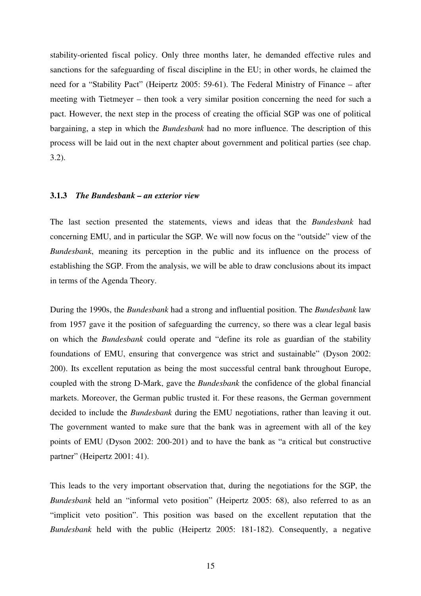stability-oriented fiscal policy. Only three months later, he demanded effective rules and sanctions for the safeguarding of fiscal discipline in the EU; in other words, he claimed the need for a "Stability Pact" (Heipertz 2005: 59-61). The Federal Ministry of Finance – after meeting with Tietmeyer – then took a very similar position concerning the need for such a pact. However, the next step in the process of creating the official SGP was one of political bargaining, a step in which the *Bundesbank* had no more influence. The description of this process will be laid out in the next chapter about government and political parties (see chap. 3.2).

#### **3.1.3** *The Bundesbank – an exterior view*

The last section presented the statements, views and ideas that the *Bundesbank* had concerning EMU, and in particular the SGP. We will now focus on the "outside" view of the *Bundesbank*, meaning its perception in the public and its influence on the process of establishing the SGP. From the analysis, we will be able to draw conclusions about its impact in terms of the Agenda Theory.

During the 1990s, the *Bundesbank* had a strong and influential position. The *Bundesbank* law from 1957 gave it the position of safeguarding the currency, so there was a clear legal basis on which the *Bundesbank* could operate and "define its role as guardian of the stability foundations of EMU, ensuring that convergence was strict and sustainable" (Dyson 2002: 200). Its excellent reputation as being the most successful central bank throughout Europe, coupled with the strong D-Mark, gave the *Bundesbank* the confidence of the global financial markets. Moreover, the German public trusted it. For these reasons, the German government decided to include the *Bundesbank* during the EMU negotiations, rather than leaving it out. The government wanted to make sure that the bank was in agreement with all of the key points of EMU (Dyson 2002: 200-201) and to have the bank as "a critical but constructive partner" (Heipertz 2001: 41).

This leads to the very important observation that, during the negotiations for the SGP, the *Bundesbank* held an "informal veto position" (Heipertz 2005: 68), also referred to as an "implicit veto position". This position was based on the excellent reputation that the *Bundesbank* held with the public (Heipertz 2005: 181-182). Consequently, a negative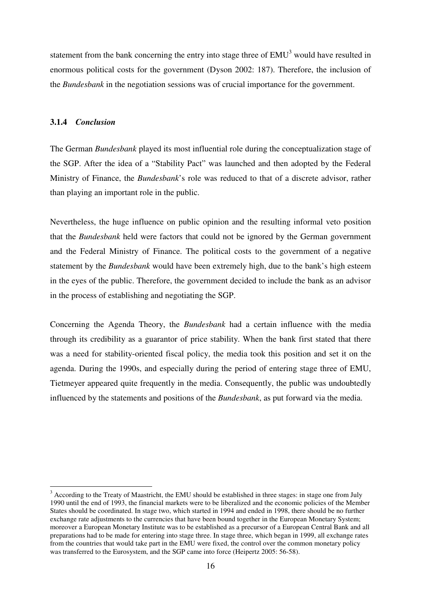statement from the bank concerning the entry into stage three of  $EMU<sup>3</sup>$  would have resulted in enormous political costs for the government (Dyson 2002: 187). Therefore, the inclusion of the *Bundesbank* in the negotiation sessions was of crucial importance for the government.

#### **3.1.4** *Conclusion*

 $\overline{a}$ 

The German *Bundesbank* played its most influential role during the conceptualization stage of the SGP. After the idea of a "Stability Pact" was launched and then adopted by the Federal Ministry of Finance, the *Bundesbank*'s role was reduced to that of a discrete advisor, rather than playing an important role in the public.

Nevertheless, the huge influence on public opinion and the resulting informal veto position that the *Bundesbank* held were factors that could not be ignored by the German government and the Federal Ministry of Finance. The political costs to the government of a negative statement by the *Bundesbank* would have been extremely high, due to the bank's high esteem in the eyes of the public. Therefore, the government decided to include the bank as an advisor in the process of establishing and negotiating the SGP.

Concerning the Agenda Theory, the *Bundesbank* had a certain influence with the media through its credibility as a guarantor of price stability. When the bank first stated that there was a need for stability-oriented fiscal policy, the media took this position and set it on the agenda. During the 1990s, and especially during the period of entering stage three of EMU, Tietmeyer appeared quite frequently in the media. Consequently, the public was undoubtedly influenced by the statements and positions of the *Bundesbank*, as put forward via the media.

 $3$  According to the Treaty of Maastricht, the EMU should be established in three stages: in stage one from July 1990 until the end of 1993, the financial markets were to be liberalized and the economic policies of the Member States should be coordinated. In stage two, which started in 1994 and ended in 1998, there should be no further exchange rate adjustments to the currencies that have been bound together in the European Monetary System; moreover a European Monetary Institute was to be established as a precursor of a European Central Bank and all preparations had to be made for entering into stage three. In stage three, which began in 1999, all exchange rates from the countries that would take part in the EMU were fixed, the control over the common monetary policy was transferred to the Eurosystem, and the SGP came into force (Heipertz 2005: 56-58).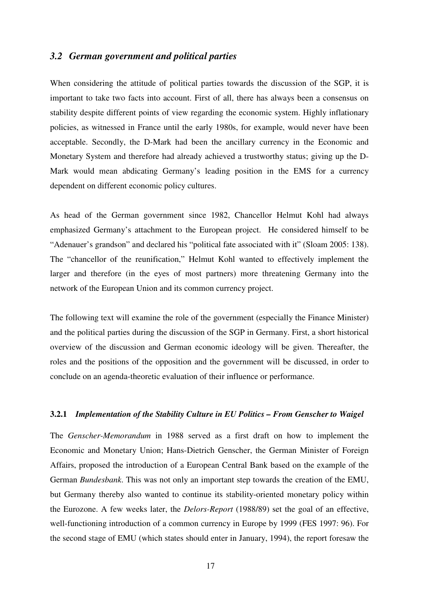#### *3.2 German government and political parties*

When considering the attitude of political parties towards the discussion of the SGP, it is important to take two facts into account. First of all, there has always been a consensus on stability despite different points of view regarding the economic system. Highly inflationary policies, as witnessed in France until the early 1980s, for example, would never have been acceptable. Secondly, the D-Mark had been the ancillary currency in the Economic and Monetary System and therefore had already achieved a trustworthy status; giving up the D-Mark would mean abdicating Germany's leading position in the EMS for a currency dependent on different economic policy cultures.

As head of the German government since 1982, Chancellor Helmut Kohl had always emphasized Germany's attachment to the European project. He considered himself to be "Adenauer's grandson" and declared his "political fate associated with it" (Sloam 2005: 138). The "chancellor of the reunification," Helmut Kohl wanted to effectively implement the larger and therefore (in the eyes of most partners) more threatening Germany into the network of the European Union and its common currency project.

The following text will examine the role of the government (especially the Finance Minister) and the political parties during the discussion of the SGP in Germany. First, a short historical overview of the discussion and German economic ideology will be given. Thereafter, the roles and the positions of the opposition and the government will be discussed, in order to conclude on an agenda-theoretic evaluation of their influence or performance.

#### **3.2.1** *Implementation of the Stability Culture in EU Politics – From Genscher to Waigel*

The *Genscher-Memorandum* in 1988 served as a first draft on how to implement the Economic and Monetary Union; Hans-Dietrich Genscher, the German Minister of Foreign Affairs, proposed the introduction of a European Central Bank based on the example of the German *Bundesbank*. This was not only an important step towards the creation of the EMU, but Germany thereby also wanted to continue its stability-oriented monetary policy within the Eurozone. A few weeks later, the *Delors-Report* (1988/89) set the goal of an effective, well-functioning introduction of a common currency in Europe by 1999 (FES 1997: 96). For the second stage of EMU (which states should enter in January, 1994), the report foresaw the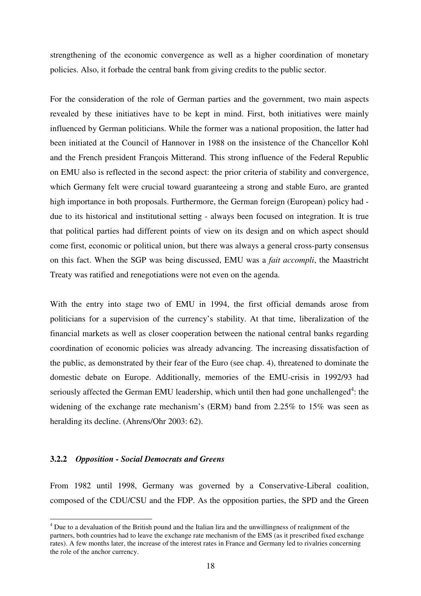strengthening of the economic convergence as well as a higher coordination of monetary policies. Also, it forbade the central bank from giving credits to the public sector.

For the consideration of the role of German parties and the government, two main aspects revealed by these initiatives have to be kept in mind. First, both initiatives were mainly influenced by German politicians. While the former was a national proposition, the latter had been initiated at the Council of Hannover in 1988 on the insistence of the Chancellor Kohl and the French president François Mitterand. This strong influence of the Federal Republic on EMU also is reflected in the second aspect: the prior criteria of stability and convergence, which Germany felt were crucial toward guaranteeing a strong and stable Euro, are granted high importance in both proposals. Furthermore, the German foreign (European) policy had due to its historical and institutional setting - always been focused on integration. It is true that political parties had different points of view on its design and on which aspect should come first, economic or political union, but there was always a general cross-party consensus on this fact. When the SGP was being discussed, EMU was a *fait accompli*, the Maastricht Treaty was ratified and renegotiations were not even on the agenda.

With the entry into stage two of EMU in 1994, the first official demands arose from politicians for a supervision of the currency's stability. At that time, liberalization of the financial markets as well as closer cooperation between the national central banks regarding coordination of economic policies was already advancing. The increasing dissatisfaction of the public, as demonstrated by their fear of the Euro (see chap. 4), threatened to dominate the domestic debate on Europe. Additionally, memories of the EMU-crisis in 1992/93 had seriously affected the German EMU leadership, which until then had gone unchallenged<sup>4</sup>: the widening of the exchange rate mechanism's (ERM) band from 2.25% to 15% was seen as heralding its decline. (Ahrens/Ohr 2003: 62).

#### **3.2.2** *Opposition - Social Democrats and Greens*

 $\overline{a}$ 

From 1982 until 1998, Germany was governed by a Conservative-Liberal coalition, composed of the CDU/CSU and the FDP. As the opposition parties, the SPD and the Green

<sup>&</sup>lt;sup>4</sup> Due to a devaluation of the British pound and the Italian lira and the unwillingness of realignment of the partners, both countries had to leave the exchange rate mechanism of the EMS (as it prescribed fixed exchange rates). A few months later, the increase of the interest rates in France and Germany led to rivalries concerning the role of the anchor currency.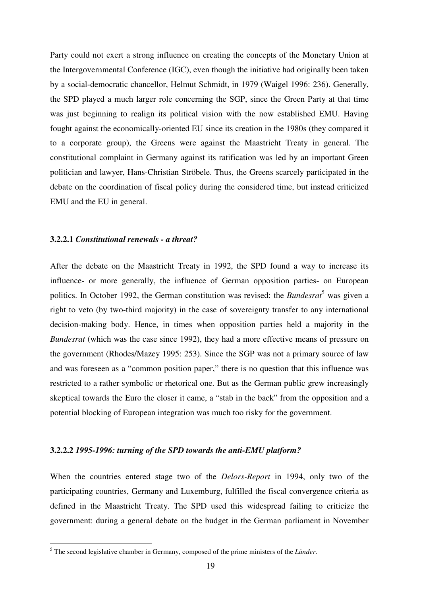Party could not exert a strong influence on creating the concepts of the Monetary Union at the Intergovernmental Conference (IGC), even though the initiative had originally been taken by a social-democratic chancellor, Helmut Schmidt, in 1979 (Waigel 1996: 236). Generally, the SPD played a much larger role concerning the SGP, since the Green Party at that time was just beginning to realign its political vision with the now established EMU. Having fought against the economically-oriented EU since its creation in the 1980s (they compared it to a corporate group), the Greens were against the Maastricht Treaty in general. The constitutional complaint in Germany against its ratification was led by an important Green politician and lawyer, Hans-Christian Ströbele. Thus, the Greens scarcely participated in the debate on the coordination of fiscal policy during the considered time, but instead criticized EMU and the EU in general.

#### **3.2.2.1** *Constitutional renewals - a threat?*

 $\overline{a}$ 

After the debate on the Maastricht Treaty in 1992, the SPD found a way to increase its influence- or more generally, the influence of German opposition parties- on European politics. In October 1992, the German constitution was revised: the *Bundesrat*<sup>5</sup> was given a right to veto (by two-third majority) in the case of sovereignty transfer to any international decision-making body. Hence, in times when opposition parties held a majority in the *Bundesrat* (which was the case since 1992), they had a more effective means of pressure on the government (Rhodes/Mazey 1995: 253). Since the SGP was not a primary source of law and was foreseen as a "common position paper," there is no question that this influence was restricted to a rather symbolic or rhetorical one. But as the German public grew increasingly skeptical towards the Euro the closer it came, a "stab in the back" from the opposition and a potential blocking of European integration was much too risky for the government.

#### **3.2.2.2** *1995-1996: turning of the SPD towards the anti-EMU platform?*

When the countries entered stage two of the *Delors-Report* in 1994, only two of the participating countries, Germany and Luxemburg, fulfilled the fiscal convergence criteria as defined in the Maastricht Treaty. The SPD used this widespread failing to criticize the government: during a general debate on the budget in the German parliament in November

<sup>5</sup> The second legislative chamber in Germany, composed of the prime ministers of the *Länder*.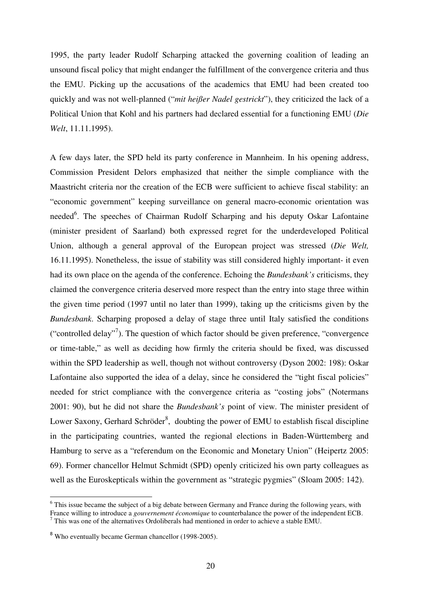1995, the party leader Rudolf Scharping attacked the governing coalition of leading an unsound fiscal policy that might endanger the fulfillment of the convergence criteria and thus the EMU. Picking up the accusations of the academics that EMU had been created too quickly and was not well-planned ("*mit heißer Nadel gestrickt*"), they criticized the lack of a Political Union that Kohl and his partners had declared essential for a functioning EMU (*Die Welt*, 11.11.1995).

A few days later, the SPD held its party conference in Mannheim. In his opening address, Commission President Delors emphasized that neither the simple compliance with the Maastricht criteria nor the creation of the ECB were sufficient to achieve fiscal stability: an "economic government" keeping surveillance on general macro-economic orientation was needed<sup>6</sup>. The speeches of Chairman Rudolf Scharping and his deputy Oskar Lafontaine (minister president of Saarland) both expressed regret for the underdeveloped Political Union, although a general approval of the European project was stressed (*Die Welt,*  16.11.1995). Nonetheless, the issue of stability was still considered highly important- it even had its own place on the agenda of the conference. Echoing the *Bundesbank's* criticisms, they claimed the convergence criteria deserved more respect than the entry into stage three within the given time period (1997 until no later than 1999), taking up the criticisms given by the *Bundesbank*. Scharping proposed a delay of stage three until Italy satisfied the conditions ("controlled delay"<sup>7</sup>). The question of which factor should be given preference, "convergence" or time-table," as well as deciding how firmly the criteria should be fixed, was discussed within the SPD leadership as well, though not without controversy (Dyson 2002: 198): Oskar Lafontaine also supported the idea of a delay, since he considered the "tight fiscal policies" needed for strict compliance with the convergence criteria as "costing jobs" (Notermans 2001: 90), but he did not share the *Bundesbank's* point of view. The minister president of Lower Saxony, Gerhard Schröder ${}^{8}$ , doubting the power of EMU to establish fiscal discipline in the participating countries, wanted the regional elections in Baden-Württemberg and Hamburg to serve as a "referendum on the Economic and Monetary Union" (Heipertz 2005: 69). Former chancellor Helmut Schmidt (SPD) openly criticized his own party colleagues as well as the Euroskepticals within the government as "strategic pygmies" (Sloam 2005: 142).

 $\overline{a}$ 

<sup>&</sup>lt;sup>6</sup> This issue became the subject of a big debate between Germany and France during the following years, with France willing to introduce a *gouvernement économique* to counterbalance the power of the independent ECB. <sup>7</sup> This was one of the alternatives Ordoliberals had mentioned in order to achieve a stable EMU.

<sup>8</sup> Who eventually became German chancellor (1998-2005).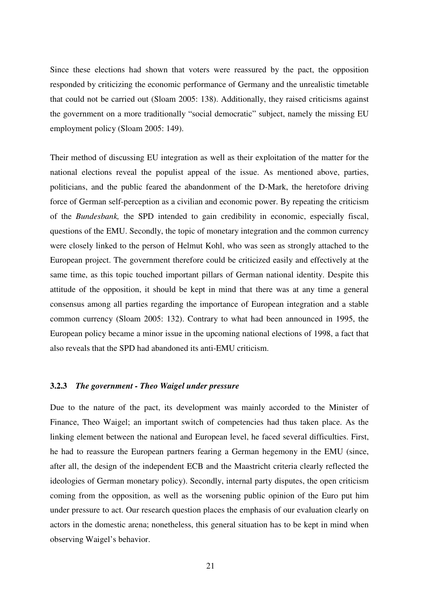Since these elections had shown that voters were reassured by the pact, the opposition responded by criticizing the economic performance of Germany and the unrealistic timetable that could not be carried out (Sloam 2005: 138). Additionally, they raised criticisms against the government on a more traditionally "social democratic" subject, namely the missing EU employment policy (Sloam 2005: 149).

Their method of discussing EU integration as well as their exploitation of the matter for the national elections reveal the populist appeal of the issue. As mentioned above, parties, politicians, and the public feared the abandonment of the D-Mark, the heretofore driving force of German self-perception as a civilian and economic power. By repeating the criticism of the *Bundesbank,* the SPD intended to gain credibility in economic, especially fiscal, questions of the EMU. Secondly, the topic of monetary integration and the common currency were closely linked to the person of Helmut Kohl, who was seen as strongly attached to the European project. The government therefore could be criticized easily and effectively at the same time, as this topic touched important pillars of German national identity. Despite this attitude of the opposition, it should be kept in mind that there was at any time a general consensus among all parties regarding the importance of European integration and a stable common currency (Sloam 2005: 132). Contrary to what had been announced in 1995, the European policy became a minor issue in the upcoming national elections of 1998, a fact that also reveals that the SPD had abandoned its anti-EMU criticism.

#### **3.2.3** *The government - Theo Waigel under pressure*

Due to the nature of the pact, its development was mainly accorded to the Minister of Finance, Theo Waigel; an important switch of competencies had thus taken place. As the linking element between the national and European level, he faced several difficulties. First, he had to reassure the European partners fearing a German hegemony in the EMU (since, after all, the design of the independent ECB and the Maastricht criteria clearly reflected the ideologies of German monetary policy). Secondly, internal party disputes, the open criticism coming from the opposition, as well as the worsening public opinion of the Euro put him under pressure to act. Our research question places the emphasis of our evaluation clearly on actors in the domestic arena; nonetheless, this general situation has to be kept in mind when observing Waigel's behavior.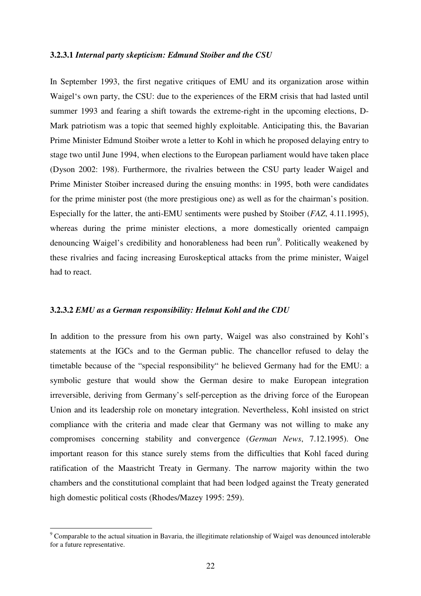#### **3.2.3.1** *Internal party skepticism: Edmund Stoiber and the CSU*

In September 1993, the first negative critiques of EMU and its organization arose within Waigel's own party, the CSU: due to the experiences of the ERM crisis that had lasted until summer 1993 and fearing a shift towards the extreme-right in the upcoming elections, D-Mark patriotism was a topic that seemed highly exploitable. Anticipating this, the Bavarian Prime Minister Edmund Stoiber wrote a letter to Kohl in which he proposed delaying entry to stage two until June 1994, when elections to the European parliament would have taken place (Dyson 2002: 198). Furthermore, the rivalries between the CSU party leader Waigel and Prime Minister Stoiber increased during the ensuing months: in 1995, both were candidates for the prime minister post (the more prestigious one) as well as for the chairman's position. Especially for the latter, the anti-EMU sentiments were pushed by Stoiber (*FAZ*, 4.11.1995), whereas during the prime minister elections, a more domestically oriented campaign denouncing Waigel's credibility and honorableness had been run<sup>9</sup>. Politically weakened by these rivalries and facing increasing Euroskeptical attacks from the prime minister, Waigel had to react.

#### **3.2.3.2** *EMU as a German responsibility: Helmut Kohl and the CDU*

In addition to the pressure from his own party, Waigel was also constrained by Kohl's statements at the IGCs and to the German public. The chancellor refused to delay the timetable because of the "special responsibility" he believed Germany had for the EMU: a symbolic gesture that would show the German desire to make European integration irreversible, deriving from Germany's self-perception as the driving force of the European Union and its leadership role on monetary integration. Nevertheless, Kohl insisted on strict compliance with the criteria and made clear that Germany was not willing to make any compromises concerning stability and convergence (*German News*, 7.12.1995). One important reason for this stance surely stems from the difficulties that Kohl faced during ratification of the Maastricht Treaty in Germany. The narrow majority within the two chambers and the constitutional complaint that had been lodged against the Treaty generated high domestic political costs (Rhodes/Mazey 1995: 259).

 $\overline{a}$ 

 $9^9$  Comparable to the actual situation in Bavaria, the illegitimate relationship of Waigel was denounced intolerable for a future representative.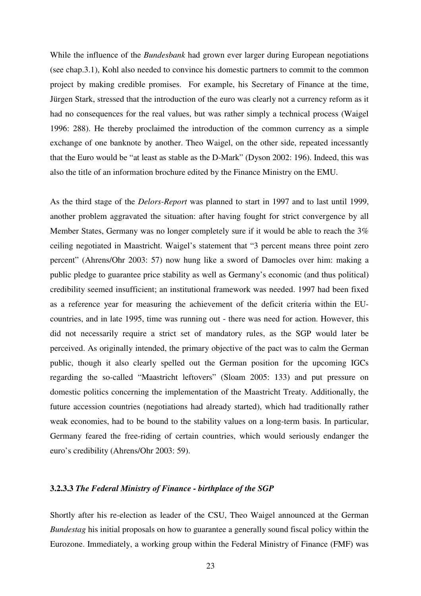While the influence of the *Bundesbank* had grown ever larger during European negotiations (see chap.3.1), Kohl also needed to convince his domestic partners to commit to the common project by making credible promises. For example, his Secretary of Finance at the time, Jürgen Stark, stressed that the introduction of the euro was clearly not a currency reform as it had no consequences for the real values, but was rather simply a technical process (Waigel 1996: 288). He thereby proclaimed the introduction of the common currency as a simple exchange of one banknote by another. Theo Waigel, on the other side, repeated incessantly that the Euro would be "at least as stable as the D-Mark" (Dyson 2002: 196). Indeed, this was also the title of an information brochure edited by the Finance Ministry on the EMU.

As the third stage of the *Delors-Report* was planned to start in 1997 and to last until 1999, another problem aggravated the situation: after having fought for strict convergence by all Member States, Germany was no longer completely sure if it would be able to reach the 3% ceiling negotiated in Maastricht. Waigel's statement that "3 percent means three point zero percent" (Ahrens/Ohr 2003: 57) now hung like a sword of Damocles over him: making a public pledge to guarantee price stability as well as Germany's economic (and thus political) credibility seemed insufficient; an institutional framework was needed. 1997 had been fixed as a reference year for measuring the achievement of the deficit criteria within the EUcountries, and in late 1995, time was running out - there was need for action. However, this did not necessarily require a strict set of mandatory rules, as the SGP would later be perceived. As originally intended, the primary objective of the pact was to calm the German public, though it also clearly spelled out the German position for the upcoming IGCs regarding the so-called "Maastricht leftovers" (Sloam 2005: 133) and put pressure on domestic politics concerning the implementation of the Maastricht Treaty. Additionally, the future accession countries (negotiations had already started), which had traditionally rather weak economies, had to be bound to the stability values on a long-term basis. In particular, Germany feared the free-riding of certain countries, which would seriously endanger the euro's credibility (Ahrens/Ohr 2003: 59).

#### **3.2.3.3** *The Federal Ministry of Finance - birthplace of the SGP*

Shortly after his re-election as leader of the CSU, Theo Waigel announced at the German *Bundestag* his initial proposals on how to guarantee a generally sound fiscal policy within the Eurozone. Immediately, a working group within the Federal Ministry of Finance (FMF) was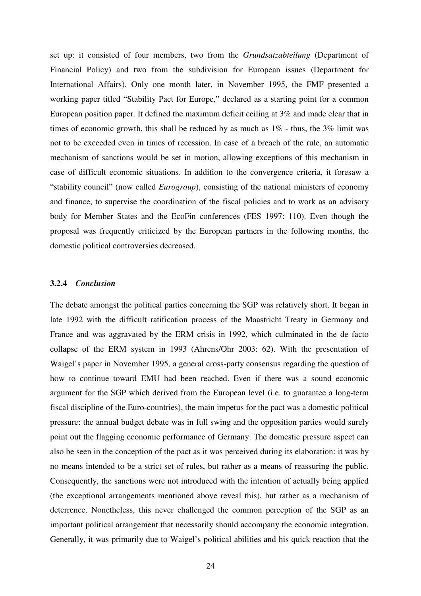set up: it consisted of four members, two from the *Grundsatzabteilung* (Department of Financial Policy) and two from the subdivision for European issues (Department for International Affairs). Only one month later, in November 1995, the FMF presented a working paper titled "Stability Pact for Europe," declared as a starting point for a common European position paper. It defined the maximum deficit ceiling at 3% and made clear that in times of economic growth, this shall be reduced by as much as 1% - thus, the 3% limit was not to be exceeded even in times of recession. In case of a breach of the rule, an automatic mechanism of sanctions would be set in motion, allowing exceptions of this mechanism in case of difficult economic situations. In addition to the convergence criteria, it foresaw a "stability council" (now called *Eurogroup*), consisting of the national ministers of economy and finance, to supervise the coordination of the fiscal policies and to work as an advisory body for Member States and the EcoFin conferences (FES 1997: 110). Even though the proposal was frequently criticized by the European partners in the following months, the domestic political controversies decreased.

#### **3.2.4** *Conclusion*

The debate amongst the political parties concerning the SGP was relatively short. It began in late 1992 with the difficult ratification process of the Maastricht Treaty in Germany and France and was aggravated by the ERM crisis in 1992, which culminated in the de facto collapse of the ERM system in 1993 (Ahrens/Ohr 2003: 62). With the presentation of Waigel's paper in November 1995, a general cross-party consensus regarding the question of how to continue toward EMU had been reached. Even if there was a sound economic argument for the SGP which derived from the European level (i.e. to guarantee a long-term fiscal discipline of the Euro-countries), the main impetus for the pact was a domestic political pressure: the annual budget debate was in full swing and the opposition parties would surely point out the flagging economic performance of Germany. The domestic pressure aspect can also be seen in the conception of the pact as it was perceived during its elaboration: it was by no means intended to be a strict set of rules, but rather as a means of reassuring the public. Consequently, the sanctions were not introduced with the intention of actually being applied (the exceptional arrangements mentioned above reveal this), but rather as a mechanism of deterrence. Nonetheless, this never challenged the common perception of the SGP as an important political arrangement that necessarily should accompany the economic integration. Generally, it was primarily due to Waigel's political abilities and his quick reaction that the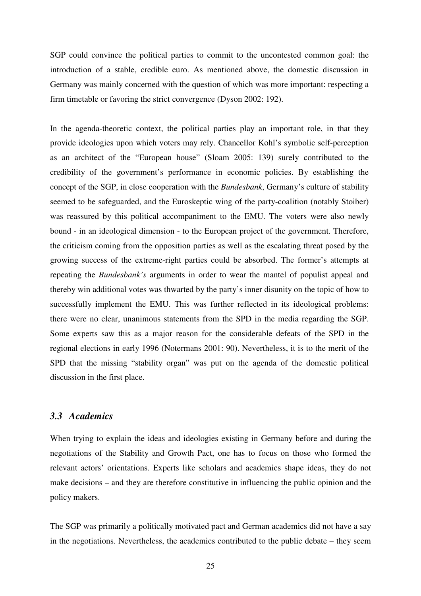SGP could convince the political parties to commit to the uncontested common goal: the introduction of a stable, credible euro. As mentioned above, the domestic discussion in Germany was mainly concerned with the question of which was more important: respecting a firm timetable or favoring the strict convergence (Dyson 2002: 192).

In the agenda-theoretic context, the political parties play an important role, in that they provide ideologies upon which voters may rely. Chancellor Kohl's symbolic self-perception as an architect of the "European house" (Sloam 2005: 139) surely contributed to the credibility of the government's performance in economic policies. By establishing the concept of the SGP, in close cooperation with the *Bundesbank*, Germany's culture of stability seemed to be safeguarded, and the Euroskeptic wing of the party-coalition (notably Stoiber) was reassured by this political accompaniment to the EMU. The voters were also newly bound - in an ideological dimension - to the European project of the government. Therefore, the criticism coming from the opposition parties as well as the escalating threat posed by the growing success of the extreme-right parties could be absorbed. The former's attempts at repeating the *Bundesbank's* arguments in order to wear the mantel of populist appeal and thereby win additional votes was thwarted by the party's inner disunity on the topic of how to successfully implement the EMU. This was further reflected in its ideological problems: there were no clear, unanimous statements from the SPD in the media regarding the SGP. Some experts saw this as a major reason for the considerable defeats of the SPD in the regional elections in early 1996 (Notermans 2001: 90). Nevertheless, it is to the merit of the SPD that the missing "stability organ" was put on the agenda of the domestic political discussion in the first place.

### *3.3 Academics*

When trying to explain the ideas and ideologies existing in Germany before and during the negotiations of the Stability and Growth Pact, one has to focus on those who formed the relevant actors' orientations. Experts like scholars and academics shape ideas, they do not make decisions – and they are therefore constitutive in influencing the public opinion and the policy makers.

The SGP was primarily a politically motivated pact and German academics did not have a say in the negotiations. Nevertheless, the academics contributed to the public debate – they seem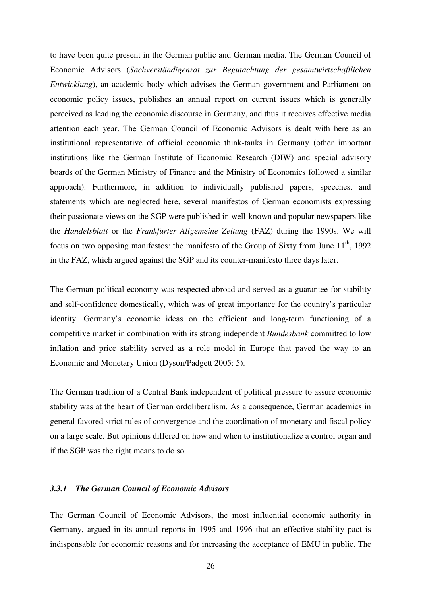to have been quite present in the German public and German media. The German Council of Economic Advisors (*Sachverständigenrat zur Begutachtung der gesamtwirtschaftlichen Entwicklung*), an academic body which advises the German government and Parliament on economic policy issues, publishes an annual report on current issues which is generally perceived as leading the economic discourse in Germany, and thus it receives effective media attention each year. The German Council of Economic Advisors is dealt with here as an institutional representative of official economic think-tanks in Germany (other important institutions like the German Institute of Economic Research (DIW) and special advisory boards of the German Ministry of Finance and the Ministry of Economics followed a similar approach). Furthermore, in addition to individually published papers, speeches, and statements which are neglected here, several manifestos of German economists expressing their passionate views on the SGP were published in well-known and popular newspapers like the *Handelsblatt* or the *Frankfurter Allgemeine Zeitung* (FAZ) during the 1990s. We will focus on two opposing manifestos: the manifesto of the Group of Sixty from June 11<sup>th</sup>, 1992 in the FAZ, which argued against the SGP and its counter-manifesto three days later.

The German political economy was respected abroad and served as a guarantee for stability and self-confidence domestically, which was of great importance for the country's particular identity. Germany's economic ideas on the efficient and long-term functioning of a competitive market in combination with its strong independent *Bundesbank* committed to low inflation and price stability served as a role model in Europe that paved the way to an Economic and Monetary Union (Dyson/Padgett 2005: 5).

The German tradition of a Central Bank independent of political pressure to assure economic stability was at the heart of German ordoliberalism. As a consequence, German academics in general favored strict rules of convergence and the coordination of monetary and fiscal policy on a large scale. But opinions differed on how and when to institutionalize a control organ and if the SGP was the right means to do so.

#### *3.3.1 The German Council of Economic Advisors*

The German Council of Economic Advisors, the most influential economic authority in Germany, argued in its annual reports in 1995 and 1996 that an effective stability pact is indispensable for economic reasons and for increasing the acceptance of EMU in public. The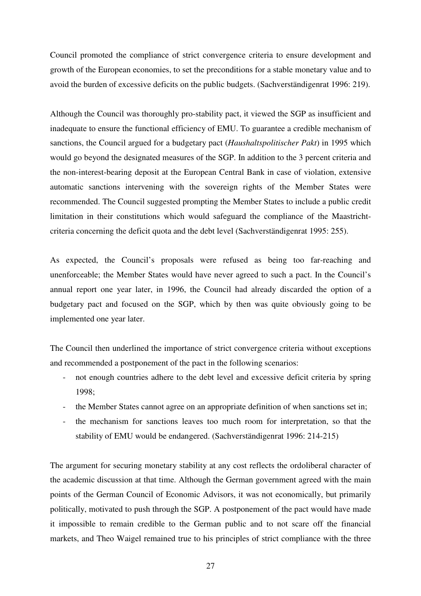Council promoted the compliance of strict convergence criteria to ensure development and growth of the European economies, to set the preconditions for a stable monetary value and to avoid the burden of excessive deficits on the public budgets. (Sachverständigenrat 1996: 219).

Although the Council was thoroughly pro-stability pact, it viewed the SGP as insufficient and inadequate to ensure the functional efficiency of EMU. To guarantee a credible mechanism of sanctions, the Council argued for a budgetary pact (*Haushaltspolitischer Pakt*) in 1995 which would go beyond the designated measures of the SGP. In addition to the 3 percent criteria and the non-interest-bearing deposit at the European Central Bank in case of violation, extensive automatic sanctions intervening with the sovereign rights of the Member States were recommended. The Council suggested prompting the Member States to include a public credit limitation in their constitutions which would safeguard the compliance of the Maastrichtcriteria concerning the deficit quota and the debt level (Sachverständigenrat 1995: 255).

As expected, the Council's proposals were refused as being too far-reaching and unenforceable; the Member States would have never agreed to such a pact. In the Council's annual report one year later, in 1996, the Council had already discarded the option of a budgetary pact and focused on the SGP, which by then was quite obviously going to be implemented one year later.

The Council then underlined the importance of strict convergence criteria without exceptions and recommended a postponement of the pact in the following scenarios:

- not enough countries adhere to the debt level and excessive deficit criteria by spring 1998;
- the Member States cannot agree on an appropriate definition of when sanctions set in;
- the mechanism for sanctions leaves too much room for interpretation, so that the stability of EMU would be endangered. (Sachverständigenrat 1996: 214-215)

The argument for securing monetary stability at any cost reflects the ordoliberal character of the academic discussion at that time. Although the German government agreed with the main points of the German Council of Economic Advisors, it was not economically, but primarily politically, motivated to push through the SGP. A postponement of the pact would have made it impossible to remain credible to the German public and to not scare off the financial markets, and Theo Waigel remained true to his principles of strict compliance with the three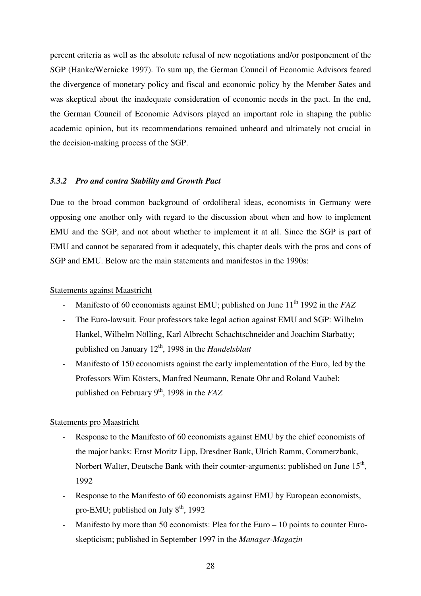percent criteria as well as the absolute refusal of new negotiations and/or postponement of the SGP (Hanke/Wernicke 1997). To sum up, the German Council of Economic Advisors feared the divergence of monetary policy and fiscal and economic policy by the Member Sates and was skeptical about the inadequate consideration of economic needs in the pact. In the end, the German Council of Economic Advisors played an important role in shaping the public academic opinion, but its recommendations remained unheard and ultimately not crucial in the decision-making process of the SGP.

#### *3.3.2 Pro and contra Stability and Growth Pact*

Due to the broad common background of ordoliberal ideas, economists in Germany were opposing one another only with regard to the discussion about when and how to implement EMU and the SGP, and not about whether to implement it at all. Since the SGP is part of EMU and cannot be separated from it adequately, this chapter deals with the pros and cons of SGP and EMU. Below are the main statements and manifestos in the 1990s:

#### Statements against Maastricht

- Manifesto of 60 economists against EMU; published on June 11<sup>th</sup> 1992 in the *FAZ*
- The Euro-lawsuit. Four professors take legal action against EMU and SGP: Wilhelm Hankel, Wilhelm Nölling, Karl Albrecht Schachtschneider and Joachim Starbatty; published on January 12th, 1998 in the *Handelsblatt*
- Manifesto of 150 economists against the early implementation of the Euro, led by the Professors Wim Kösters, Manfred Neumann, Renate Ohr and Roland Vaubel; published on February 9<sup>th</sup>, 1998 in the *FAZ*

#### Statements pro Maastricht

- Response to the Manifesto of 60 economists against EMU by the chief economists of the major banks: Ernst Moritz Lipp, Dresdner Bank, Ulrich Ramm, Commerzbank, Norbert Walter, Deutsche Bank with their counter-arguments; published on June  $15<sup>th</sup>$ , 1992
- Response to the Manifesto of 60 economists against EMU by European economists, pro-EMU; published on July  $8<sup>th</sup>$ , 1992
- Manifesto by more than 50 economists: Plea for the Euro 10 points to counter Euroskepticism; published in September 1997 in the *Manager-Magazin*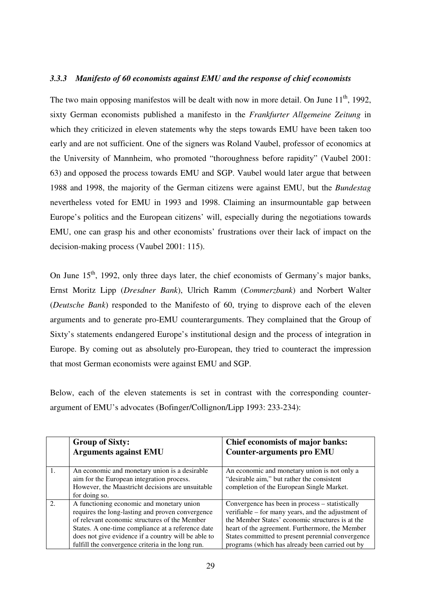#### *3.3.3 Manifesto of 60 economists against EMU and the response of chief economists*

The two main opposing manifestos will be dealt with now in more detail. On June 11<sup>th</sup>, 1992, sixty German economists published a manifesto in the *Frankfurter Allgemeine Zeitung* in which they criticized in eleven statements why the steps towards EMU have been taken too early and are not sufficient. One of the signers was Roland Vaubel, professor of economics at the University of Mannheim, who promoted "thoroughness before rapidity" (Vaubel 2001: 63) and opposed the process towards EMU and SGP. Vaubel would later argue that between 1988 and 1998, the majority of the German citizens were against EMU, but the *Bundestag*  nevertheless voted for EMU in 1993 and 1998. Claiming an insurmountable gap between Europe's politics and the European citizens' will, especially during the negotiations towards EMU, one can grasp his and other economists' frustrations over their lack of impact on the decision-making process (Vaubel 2001: 115).

On June  $15<sup>th</sup>$ , 1992, only three days later, the chief economists of Germany's major banks, Ernst Moritz Lipp (*Dresdner Bank*), Ulrich Ramm (*Commerzbank*) and Norbert Walter (*Deutsche Bank*) responded to the Manifesto of 60, trying to disprove each of the eleven arguments and to generate pro-EMU counterarguments. They complained that the Group of Sixty's statements endangered Europe's institutional design and the process of integration in Europe. By coming out as absolutely pro-European, they tried to counteract the impression that most German economists were against EMU and SGP.

Below, each of the eleven statements is set in contrast with the corresponding counterargument of EMU's advocates (Bofinger/Collignon/Lipp 1993: 233-234):

| <b>Group of Sixty:</b><br><b>Arguments against EMU</b>                                                                                                                                                                                                                                                          | <b>Chief economists of major banks:</b><br><b>Counter-arguments pro EMU</b>                                                                                                                                                                                                                                          |
|-----------------------------------------------------------------------------------------------------------------------------------------------------------------------------------------------------------------------------------------------------------------------------------------------------------------|----------------------------------------------------------------------------------------------------------------------------------------------------------------------------------------------------------------------------------------------------------------------------------------------------------------------|
| An economic and monetary union is a desirable<br>aim for the European integration process.<br>However, the Maastricht decisions are unsuitable<br>for doing so.                                                                                                                                                 | An economic and monetary union is not only a<br>"desirable aim," but rather the consistent<br>completion of the European Single Market.                                                                                                                                                                              |
| A functioning economic and monetary union<br>requires the long-lasting and proven convergence<br>of relevant economic structures of the Member<br>States. A one-time compliance at a reference date<br>does not give evidence if a country will be able to<br>fulfill the convergence criteria in the long run. | Convergence has been in process – statistically<br>verifiable – for many years, and the adjustment of<br>the Member States' economic structures is at the<br>heart of the agreement. Furthermore, the Member<br>States committed to present perennial convergence<br>programs (which has already been carried out by |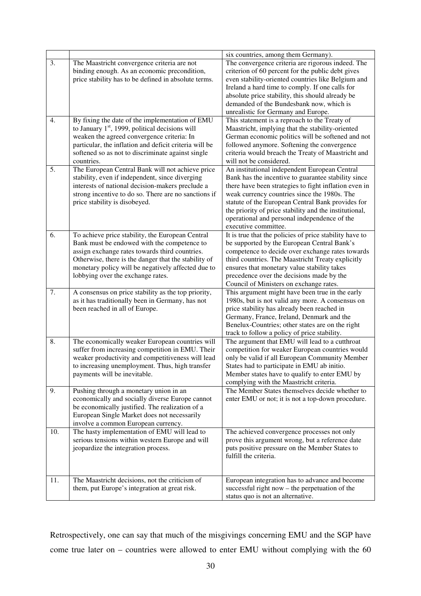|     |                                                                                                                                                                                                                                                                                                      | six countries, among them Germany).                                                                                                                                                                                                                                                                                                                                                                  |
|-----|------------------------------------------------------------------------------------------------------------------------------------------------------------------------------------------------------------------------------------------------------------------------------------------------------|------------------------------------------------------------------------------------------------------------------------------------------------------------------------------------------------------------------------------------------------------------------------------------------------------------------------------------------------------------------------------------------------------|
| 3.  | The Maastricht convergence criteria are not<br>binding enough. As an economic precondition,<br>price stability has to be defined in absolute terms.                                                                                                                                                  | The convergence criteria are rigorous indeed. The<br>criterion of 60 percent for the public debt gives<br>even stability-oriented countries like Belgium and<br>Ireland a hard time to comply. If one calls for<br>absolute price stability, this should already be<br>demanded of the Bundesbank now, which is<br>unrealistic for Germany and Europe.                                               |
| 4.  | By fixing the date of the implementation of EMU<br>to January $1st$ , 1999, political decisions will<br>weaken the agreed convergence criteria: In<br>particular, the inflation and deficit criteria will be<br>softened so as not to discriminate against single<br>countries.                      | This statement is a reproach to the Treaty of<br>Maastricht, implying that the stability-oriented<br>German economic politics will be softened and not<br>followed anymore. Softening the convergence<br>criteria would breach the Treaty of Maastricht and<br>will not be considered.                                                                                                               |
| 5.  | The European Central Bank will not achieve price<br>stability, even if independent, since diverging<br>interests of national decision-makers preclude a<br>strong incentive to do so. There are no sanctions if<br>price stability is disobeyed.                                                     | An institutional independent European Central<br>Bank has the incentive to guarantee stability since<br>there have been strategies to fight inflation even in<br>weak currency countries since the 1980s. The<br>statute of the European Central Bank provides for<br>the priority of price stability and the institutional,<br>operational and personal independence of the<br>executive committee. |
| 6.  | To achieve price stability, the European Central<br>Bank must be endowed with the competence to<br>assign exchange rates towards third countries.<br>Otherwise, there is the danger that the stability of<br>monetary policy will be negatively affected due to<br>lobbying over the exchange rates. | It is true that the policies of price stability have to<br>be supported by the European Central Bank's<br>competence to decide over exchange rates towards<br>third countries. The Maastricht Treaty explicitly<br>ensures that monetary value stability takes<br>precedence over the decisions made by the<br>Council of Ministers on exchange rates.                                               |
| 7.  | A consensus on price stability as the top priority,<br>as it has traditionally been in Germany, has not<br>been reached in all of Europe.                                                                                                                                                            | This argument might have been true in the early<br>1980s, but is not valid any more. A consensus on<br>price stability has already been reached in<br>Germany, France, Ireland, Denmark and the<br>Benelux-Countries; other states are on the right<br>track to follow a policy of price stability.                                                                                                  |
| 8.  | The economically weaker European countries will<br>suffer from increasing competition in EMU. Their<br>weaker productivity and competitiveness will lead<br>to increasing unemployment. Thus, high transfer<br>payments will be inevitable.                                                          | The argument that EMU will lead to a cutthroat<br>competition for weaker European countries would<br>only be valid if all European Community Member<br>States had to participate in EMU ab initio.<br>Member states have to qualify to enter EMU by<br>complying with the Maastricht criteria.                                                                                                       |
| 9.  | Pushing through a monetary union in an<br>economically and socially diverse Europe cannot<br>be economically justified. The realization of a<br>European Single Market does not necessarily<br>involve a common European currency.                                                                   | The Member States themselves decide whether to<br>enter EMU or not; it is not a top-down procedure.                                                                                                                                                                                                                                                                                                  |
| 10. | The hasty implementation of EMU will lead to<br>serious tensions within western Europe and will<br>jeopardize the integration process.                                                                                                                                                               | The achieved convergence processes not only<br>prove this argument wrong, but a reference date<br>puts positive pressure on the Member States to<br>fulfill the criteria.                                                                                                                                                                                                                            |
| 11. | The Maastricht decisions, not the criticism of<br>them, put Europe's integration at great risk.                                                                                                                                                                                                      | European integration has to advance and become<br>successful right now $-$ the perpetuation of the<br>status quo is not an alternative.                                                                                                                                                                                                                                                              |

Retrospectively, one can say that much of the misgivings concerning EMU and the SGP have come true later on – countries were allowed to enter EMU without complying with the 60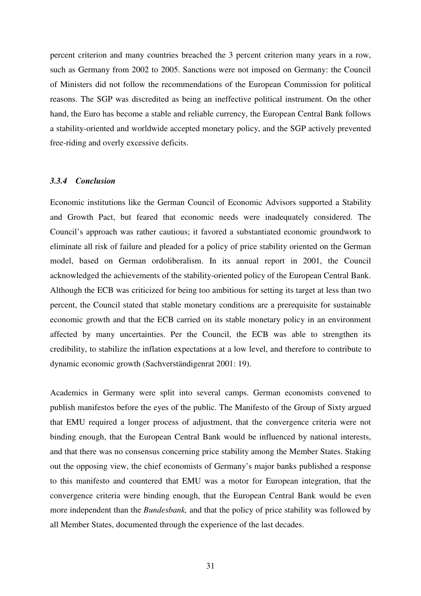percent criterion and many countries breached the 3 percent criterion many years in a row, such as Germany from 2002 to 2005. Sanctions were not imposed on Germany: the Council of Ministers did not follow the recommendations of the European Commission for political reasons. The SGP was discredited as being an ineffective political instrument. On the other hand, the Euro has become a stable and reliable currency, the European Central Bank follows a stability-oriented and worldwide accepted monetary policy, and the SGP actively prevented free-riding and overly excessive deficits.

#### *3.3.4 Conclusion*

Economic institutions like the German Council of Economic Advisors supported a Stability and Growth Pact, but feared that economic needs were inadequately considered. The Council's approach was rather cautious; it favored a substantiated economic groundwork to eliminate all risk of failure and pleaded for a policy of price stability oriented on the German model, based on German ordoliberalism. In its annual report in 2001, the Council acknowledged the achievements of the stability-oriented policy of the European Central Bank. Although the ECB was criticized for being too ambitious for setting its target at less than two percent, the Council stated that stable monetary conditions are a prerequisite for sustainable economic growth and that the ECB carried on its stable monetary policy in an environment affected by many uncertainties. Per the Council, the ECB was able to strengthen its credibility, to stabilize the inflation expectations at a low level, and therefore to contribute to dynamic economic growth (Sachverständigenrat 2001: 19).

Academics in Germany were split into several camps. German economists convened to publish manifestos before the eyes of the public. The Manifesto of the Group of Sixty argued that EMU required a longer process of adjustment, that the convergence criteria were not binding enough, that the European Central Bank would be influenced by national interests, and that there was no consensus concerning price stability among the Member States. Staking out the opposing view, the chief economists of Germany's major banks published a response to this manifesto and countered that EMU was a motor for European integration, that the convergence criteria were binding enough, that the European Central Bank would be even more independent than the *Bundesbank,* and that the policy of price stability was followed by all Member States, documented through the experience of the last decades.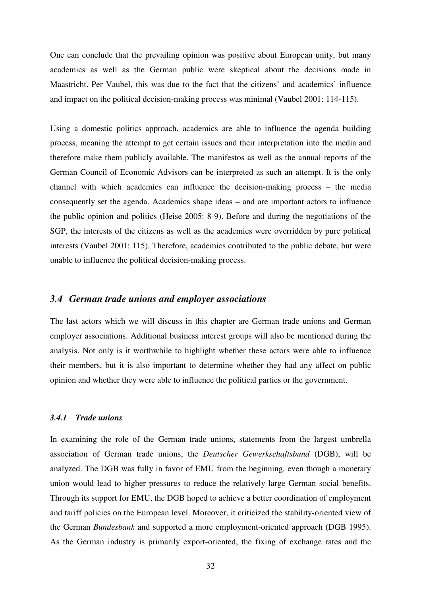One can conclude that the prevailing opinion was positive about European unity, but many academics as well as the German public were skeptical about the decisions made in Maastricht. Per Vaubel, this was due to the fact that the citizens' and academics' influence and impact on the political decision-making process was minimal (Vaubel 2001: 114-115).

Using a domestic politics approach, academics are able to influence the agenda building process, meaning the attempt to get certain issues and their interpretation into the media and therefore make them publicly available. The manifestos as well as the annual reports of the German Council of Economic Advisors can be interpreted as such an attempt. It is the only channel with which academics can influence the decision-making process – the media consequently set the agenda. Academics shape ideas – and are important actors to influence the public opinion and politics (Heise 2005: 8-9). Before and during the negotiations of the SGP, the interests of the citizens as well as the academics were overridden by pure political interests (Vaubel 2001: 115). Therefore, academics contributed to the public debate, but were unable to influence the political decision-making process.

### *3.4 German trade unions and employer associations*

The last actors which we will discuss in this chapter are German trade unions and German employer associations. Additional business interest groups will also be mentioned during the analysis. Not only is it worthwhile to highlight whether these actors were able to influence their members, but it is also important to determine whether they had any affect on public opinion and whether they were able to influence the political parties or the government.

#### *3.4.1 Trade unions*

In examining the role of the German trade unions, statements from the largest umbrella association of German trade unions, the *Deutscher Gewerkschaftsbund* (DGB), will be analyzed. The DGB was fully in favor of EMU from the beginning, even though a monetary union would lead to higher pressures to reduce the relatively large German social benefits. Through its support for EMU, the DGB hoped to achieve a better coordination of employment and tariff policies on the European level. Moreover, it criticized the stability-oriented view of the German *Bundesbank* and supported a more employment-oriented approach (DGB 1995). As the German industry is primarily export-oriented, the fixing of exchange rates and the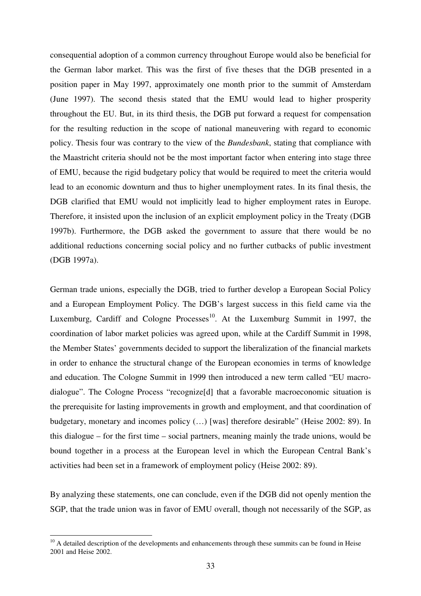consequential adoption of a common currency throughout Europe would also be beneficial for the German labor market. This was the first of five theses that the DGB presented in a position paper in May 1997, approximately one month prior to the summit of Amsterdam (June 1997). The second thesis stated that the EMU would lead to higher prosperity throughout the EU. But, in its third thesis, the DGB put forward a request for compensation for the resulting reduction in the scope of national maneuvering with regard to economic policy. Thesis four was contrary to the view of the *Bundesbank*, stating that compliance with the Maastricht criteria should not be the most important factor when entering into stage three of EMU, because the rigid budgetary policy that would be required to meet the criteria would lead to an economic downturn and thus to higher unemployment rates. In its final thesis, the DGB clarified that EMU would not implicitly lead to higher employment rates in Europe. Therefore, it insisted upon the inclusion of an explicit employment policy in the Treaty (DGB 1997b). Furthermore, the DGB asked the government to assure that there would be no additional reductions concerning social policy and no further cutbacks of public investment (DGB 1997a).

German trade unions, especially the DGB, tried to further develop a European Social Policy and a European Employment Policy. The DGB's largest success in this field came via the Luxemburg, Cardiff and Cologne Processes<sup>10</sup>. At the Luxemburg Summit in 1997, the coordination of labor market policies was agreed upon, while at the Cardiff Summit in 1998, the Member States' governments decided to support the liberalization of the financial markets in order to enhance the structural change of the European economies in terms of knowledge and education. The Cologne Summit in 1999 then introduced a new term called "EU macrodialogue". The Cologne Process "recognize[d] that a favorable macroeconomic situation is the prerequisite for lasting improvements in growth and employment, and that coordination of budgetary, monetary and incomes policy (…) [was] therefore desirable" (Heise 2002: 89). In this dialogue – for the first time – social partners, meaning mainly the trade unions, would be bound together in a process at the European level in which the European Central Bank's activities had been set in a framework of employment policy (Heise 2002: 89).

By analyzing these statements, one can conclude, even if the DGB did not openly mention the SGP, that the trade union was in favor of EMU overall, though not necessarily of the SGP, as

 $\overline{a}$ 

 $10$  A detailed description of the developments and enhancements through these summits can be found in Heise 2001 and Heise 2002.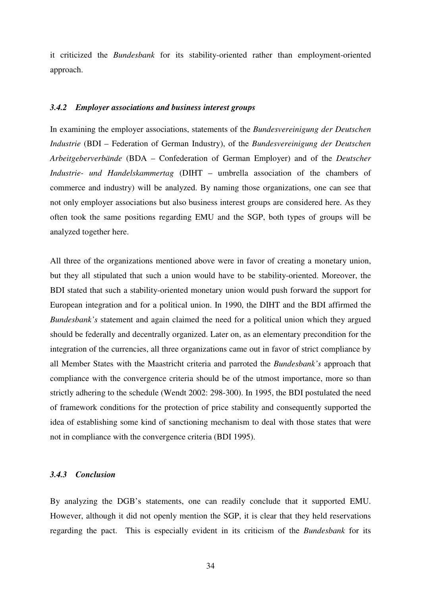it criticized the *Bundesbank* for its stability-oriented rather than employment-oriented approach.

#### *3.4.2 Employer associations and business interest groups*

In examining the employer associations, statements of the *Bundesvereinigung der Deutschen Industrie* (BDI – Federation of German Industry), of the *Bundesvereinigung der Deutschen Arbeitgeberverbände* (BDA – Confederation of German Employer) and of the *Deutscher Industrie- und Handelskammertag* (DIHT – umbrella association of the chambers of commerce and industry) will be analyzed. By naming those organizations, one can see that not only employer associations but also business interest groups are considered here. As they often took the same positions regarding EMU and the SGP, both types of groups will be analyzed together here.

All three of the organizations mentioned above were in favor of creating a monetary union, but they all stipulated that such a union would have to be stability-oriented. Moreover, the BDI stated that such a stability-oriented monetary union would push forward the support for European integration and for a political union. In 1990, the DIHT and the BDI affirmed the *Bundesbank's* statement and again claimed the need for a political union which they argued should be federally and decentrally organized. Later on, as an elementary precondition for the integration of the currencies, all three organizations came out in favor of strict compliance by all Member States with the Maastricht criteria and parroted the *Bundesbank's* approach that compliance with the convergence criteria should be of the utmost importance, more so than strictly adhering to the schedule (Wendt 2002: 298-300). In 1995, the BDI postulated the need of framework conditions for the protection of price stability and consequently supported the idea of establishing some kind of sanctioning mechanism to deal with those states that were not in compliance with the convergence criteria (BDI 1995).

#### *3.4.3 Conclusion*

By analyzing the DGB's statements, one can readily conclude that it supported EMU. However, although it did not openly mention the SGP, it is clear that they held reservations regarding the pact. This is especially evident in its criticism of the *Bundesbank* for its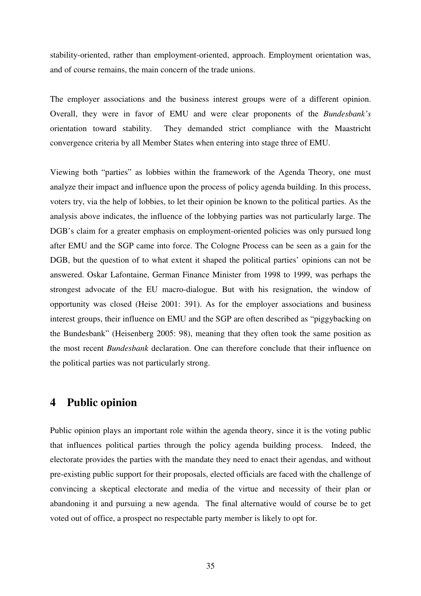stability-oriented, rather than employment-oriented, approach. Employment orientation was, and of course remains, the main concern of the trade unions.

The employer associations and the business interest groups were of a different opinion. Overall, they were in favor of EMU and were clear proponents of the *Bundesbank's*  orientation toward stability. They demanded strict compliance with the Maastricht convergence criteria by all Member States when entering into stage three of EMU.

Viewing both "parties" as lobbies within the framework of the Agenda Theory, one must analyze their impact and influence upon the process of policy agenda building. In this process, voters try, via the help of lobbies, to let their opinion be known to the political parties. As the analysis above indicates, the influence of the lobbying parties was not particularly large. The DGB's claim for a greater emphasis on employment-oriented policies was only pursued long after EMU and the SGP came into force. The Cologne Process can be seen as a gain for the DGB, but the question of to what extent it shaped the political parties' opinions can not be answered. Oskar Lafontaine, German Finance Minister from 1998 to 1999, was perhaps the strongest advocate of the EU macro-dialogue. But with his resignation, the window of opportunity was closed (Heise 2001: 391). As for the employer associations and business interest groups, their influence on EMU and the SGP are often described as "piggybacking on the Bundesbank" (Heisenberg 2005: 98), meaning that they often took the same position as the most recent *Bundesbank* declaration. One can therefore conclude that their influence on the political parties was not particularly strong.

### **4 Public opinion**

Public opinion plays an important role within the agenda theory, since it is the voting public that influences political parties through the policy agenda building process. Indeed, the electorate provides the parties with the mandate they need to enact their agendas, and without pre-existing public support for their proposals, elected officials are faced with the challenge of convincing a skeptical electorate and media of the virtue and necessity of their plan or abandoning it and pursuing a new agenda. The final alternative would of course be to get voted out of office, a prospect no respectable party member is likely to opt for.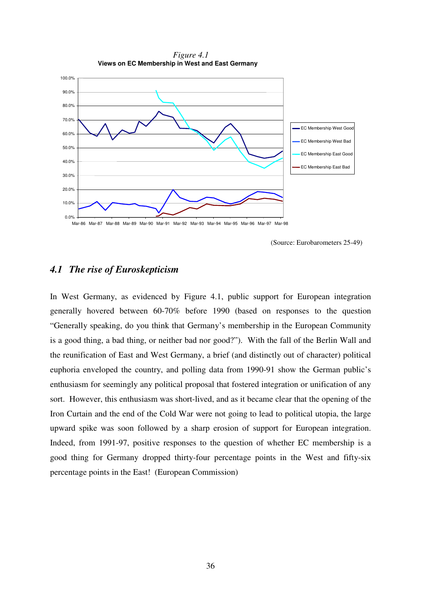

*Figure 4.1*  **Views on EC Membership in West and East Germany**

Mar-86 Mar-87 Mar-88 Mar-89 Mar-90 Mar-91 Mar-92 Mar-93 Mar-94 Mar-95 Mar-96 Mar-97 Mar-98

(Source: Eurobarometers 25-49)

### *4.1 The rise of Euroskepticism*

In West Germany, as evidenced by Figure 4.1, public support for European integration generally hovered between 60-70% before 1990 (based on responses to the question "Generally speaking, do you think that Germany's membership in the European Community is a good thing, a bad thing, or neither bad nor good?"). With the fall of the Berlin Wall and the reunification of East and West Germany, a brief (and distinctly out of character) political euphoria enveloped the country, and polling data from 1990-91 show the German public's enthusiasm for seemingly any political proposal that fostered integration or unification of any sort. However, this enthusiasm was short-lived, and as it became clear that the opening of the Iron Curtain and the end of the Cold War were not going to lead to political utopia, the large upward spike was soon followed by a sharp erosion of support for European integration. Indeed, from 1991-97, positive responses to the question of whether EC membership is a good thing for Germany dropped thirty-four percentage points in the West and fifty-six percentage points in the East! (European Commission)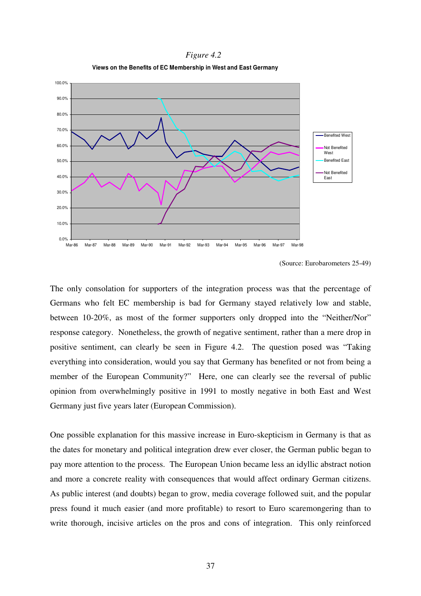*Figure 4.2*  **Views on the Benefits of EC Membership in West and East Germany**



(Source: Eurobarometers 25-49)

The only consolation for supporters of the integration process was that the percentage of Germans who felt EC membership is bad for Germany stayed relatively low and stable, between 10-20%, as most of the former supporters only dropped into the "Neither/Nor" response category. Nonetheless, the growth of negative sentiment, rather than a mere drop in positive sentiment, can clearly be seen in Figure 4.2. The question posed was "Taking everything into consideration, would you say that Germany has benefited or not from being a member of the European Community?" Here, one can clearly see the reversal of public opinion from overwhelmingly positive in 1991 to mostly negative in both East and West Germany just five years later (European Commission).

One possible explanation for this massive increase in Euro-skepticism in Germany is that as the dates for monetary and political integration drew ever closer, the German public began to pay more attention to the process. The European Union became less an idyllic abstract notion and more a concrete reality with consequences that would affect ordinary German citizens. As public interest (and doubts) began to grow, media coverage followed suit, and the popular press found it much easier (and more profitable) to resort to Euro scaremongering than to write thorough, incisive articles on the pros and cons of integration. This only reinforced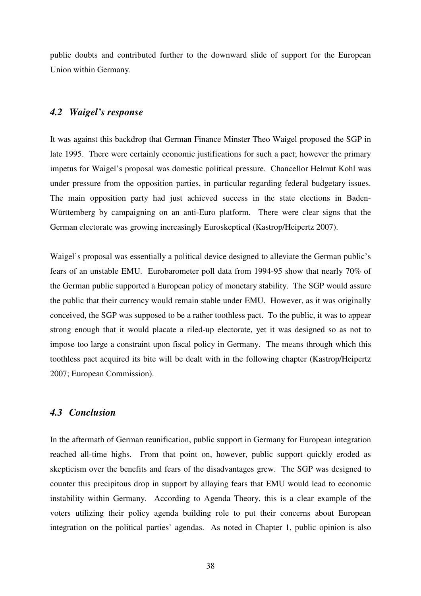public doubts and contributed further to the downward slide of support for the European Union within Germany.

#### *4.2 Waigel's response*

It was against this backdrop that German Finance Minster Theo Waigel proposed the SGP in late 1995. There were certainly economic justifications for such a pact; however the primary impetus for Waigel's proposal was domestic political pressure. Chancellor Helmut Kohl was under pressure from the opposition parties, in particular regarding federal budgetary issues. The main opposition party had just achieved success in the state elections in Baden-Württemberg by campaigning on an anti-Euro platform. There were clear signs that the German electorate was growing increasingly Euroskeptical (Kastrop/Heipertz 2007).

Waigel's proposal was essentially a political device designed to alleviate the German public's fears of an unstable EMU. Eurobarometer poll data from 1994-95 show that nearly 70% of the German public supported a European policy of monetary stability. The SGP would assure the public that their currency would remain stable under EMU. However, as it was originally conceived, the SGP was supposed to be a rather toothless pact. To the public, it was to appear strong enough that it would placate a riled-up electorate, yet it was designed so as not to impose too large a constraint upon fiscal policy in Germany. The means through which this toothless pact acquired its bite will be dealt with in the following chapter (Kastrop/Heipertz 2007; European Commission).

#### *4.3 Conclusion*

In the aftermath of German reunification, public support in Germany for European integration reached all-time highs. From that point on, however, public support quickly eroded as skepticism over the benefits and fears of the disadvantages grew. The SGP was designed to counter this precipitous drop in support by allaying fears that EMU would lead to economic instability within Germany. According to Agenda Theory, this is a clear example of the voters utilizing their policy agenda building role to put their concerns about European integration on the political parties' agendas. As noted in Chapter 1, public opinion is also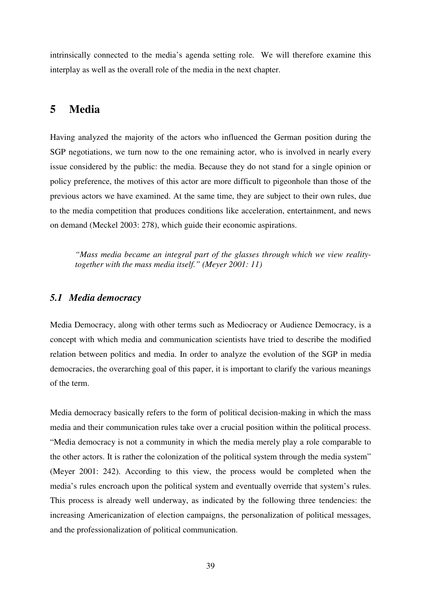intrinsically connected to the media's agenda setting role. We will therefore examine this interplay as well as the overall role of the media in the next chapter.

### **5 Media**

Having analyzed the majority of the actors who influenced the German position during the SGP negotiations, we turn now to the one remaining actor, who is involved in nearly every issue considered by the public: the media. Because they do not stand for a single opinion or policy preference, the motives of this actor are more difficult to pigeonhole than those of the previous actors we have examined. At the same time, they are subject to their own rules, due to the media competition that produces conditions like acceleration, entertainment, and news on demand (Meckel 2003: 278), which guide their economic aspirations.

*"Mass media became an integral part of the glasses through which we view realitytogether with the mass media itself." (Meyer 2001: 11)* 

#### *5.1 Media democracy*

Media Democracy, along with other terms such as Mediocracy or Audience Democracy, is a concept with which media and communication scientists have tried to describe the modified relation between politics and media. In order to analyze the evolution of the SGP in media democracies, the overarching goal of this paper, it is important to clarify the various meanings of the term.

Media democracy basically refers to the form of political decision-making in which the mass media and their communication rules take over a crucial position within the political process. "Media democracy is not a community in which the media merely play a role comparable to the other actors. It is rather the colonization of the political system through the media system" (Meyer 2001: 242). According to this view, the process would be completed when the media's rules encroach upon the political system and eventually override that system's rules. This process is already well underway, as indicated by the following three tendencies: the increasing Americanization of election campaigns, the personalization of political messages, and the professionalization of political communication.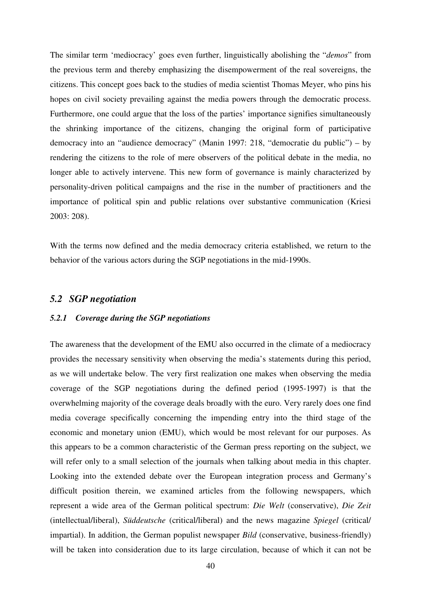The similar term 'mediocracy' goes even further, linguistically abolishing the "*demos*" from the previous term and thereby emphasizing the disempowerment of the real sovereigns, the citizens. This concept goes back to the studies of media scientist Thomas Meyer, who pins his hopes on civil society prevailing against the media powers through the democratic process. Furthermore, one could argue that the loss of the parties' importance signifies simultaneously the shrinking importance of the citizens, changing the original form of participative democracy into an "audience democracy" (Manin 1997: 218, "democratie du public") – by rendering the citizens to the role of mere observers of the political debate in the media, no longer able to actively intervene. This new form of governance is mainly characterized by personality-driven political campaigns and the rise in the number of practitioners and the importance of political spin and public relations over substantive communication (Kriesi 2003: 208).

With the terms now defined and the media democracy criteria established, we return to the behavior of the various actors during the SGP negotiations in the mid-1990s.

### *5.2 SGP negotiation*

#### *5.2.1 Coverage during the SGP negotiations*

The awareness that the development of the EMU also occurred in the climate of a mediocracy provides the necessary sensitivity when observing the media's statements during this period, as we will undertake below. The very first realization one makes when observing the media coverage of the SGP negotiations during the defined period (1995-1997) is that the overwhelming majority of the coverage deals broadly with the euro. Very rarely does one find media coverage specifically concerning the impending entry into the third stage of the economic and monetary union (EMU), which would be most relevant for our purposes. As this appears to be a common characteristic of the German press reporting on the subject, we will refer only to a small selection of the journals when talking about media in this chapter. Looking into the extended debate over the European integration process and Germany's difficult position therein, we examined articles from the following newspapers, which represent a wide area of the German political spectrum: *Die Welt* (conservative), *Die Zeit* (intellectual/liberal), *Süddeutsche* (critical/liberal) and the news magazine *Spiegel* (critical/ impartial). In addition, the German populist newspaper *Bild* (conservative, business-friendly) will be taken into consideration due to its large circulation, because of which it can not be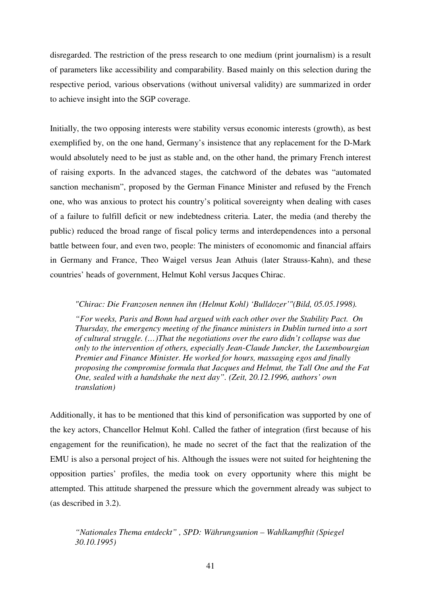disregarded. The restriction of the press research to one medium (print journalism) is a result of parameters like accessibility and comparability. Based mainly on this selection during the respective period, various observations (without universal validity) are summarized in order to achieve insight into the SGP coverage.

Initially, the two opposing interests were stability versus economic interests (growth), as best exemplified by, on the one hand, Germany's insistence that any replacement for the D-Mark would absolutely need to be just as stable and, on the other hand, the primary French interest of raising exports. In the advanced stages, the catchword of the debates was "automated sanction mechanism", proposed by the German Finance Minister and refused by the French one, who was anxious to protect his country's political sovereignty when dealing with cases of a failure to fulfill deficit or new indebtedness criteria. Later, the media (and thereby the public) reduced the broad range of fiscal policy terms and interdependences into a personal battle between four, and even two, people: The ministers of economomic and financial affairs in Germany and France, Theo Waigel versus Jean Athuis (later Strauss-Kahn), and these countries' heads of government, Helmut Kohl versus Jacques Chirac.

#### *"Chirac: Die Franzosen nennen ihn (Helmut Kohl) 'Bulldozer'"(Bild, 05.05.1998).*

*"For weeks, Paris and Bonn had argued with each other over the Stability Pact. On Thursday, the emergency meeting of the finance ministers in Dublin turned into a sort of cultural struggle. (…)That the negotiations over the euro didn't collapse was due only to the intervention of others, especially Jean-Claude Juncker, the Luxembourgian Premier and Finance Minister. He worked for hours, massaging egos and finally proposing the compromise formula that Jacques and Helmut, the Tall One and the Fat One, sealed with a handshake the next day". (Zeit, 20.12.1996, authors' own translation)* 

Additionally, it has to be mentioned that this kind of personification was supported by one of the key actors, Chancellor Helmut Kohl. Called the father of integration (first because of his engagement for the reunification), he made no secret of the fact that the realization of the EMU is also a personal project of his. Although the issues were not suited for heightening the opposition parties' profiles, the media took on every opportunity where this might be attempted. This attitude sharpened the pressure which the government already was subject to (as described in 3.2).

*"Nationales Thema entdeckt" , SPD: Währungsunion – Wahlkampfhit (Spiegel 30.10.1995)*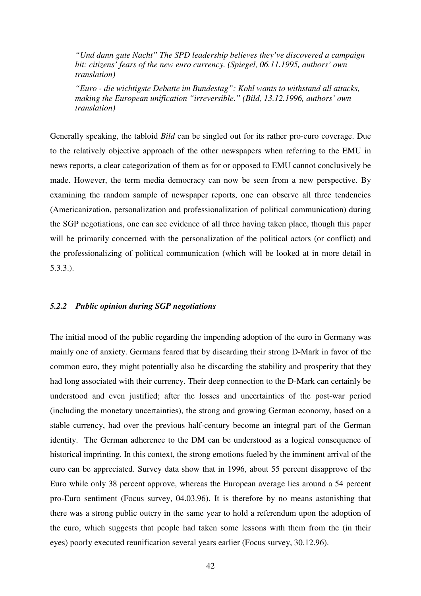*"Und dann gute Nacht" The SPD leadership believes they've discovered a campaign hit: citizens' fears of the new euro currency. (Spiegel, 06.11.1995, authors' own translation)* 

*"Euro - die wichtigste Debatte im Bundestag": Kohl wants to withstand all attacks, making the European unification "irreversible." (Bild, 13.12.1996, authors' own translation)* 

Generally speaking, the tabloid *Bild* can be singled out for its rather pro-euro coverage. Due to the relatively objective approach of the other newspapers when referring to the EMU in news reports, a clear categorization of them as for or opposed to EMU cannot conclusively be made. However, the term media democracy can now be seen from a new perspective. By examining the random sample of newspaper reports, one can observe all three tendencies (Americanization, personalization and professionalization of political communication) during the SGP negotiations, one can see evidence of all three having taken place, though this paper will be primarily concerned with the personalization of the political actors (or conflict) and the professionalizing of political communication (which will be looked at in more detail in 5.3.3.).

#### *5.2.2 Public opinion during SGP negotiations*

The initial mood of the public regarding the impending adoption of the euro in Germany was mainly one of anxiety. Germans feared that by discarding their strong D-Mark in favor of the common euro, they might potentially also be discarding the stability and prosperity that they had long associated with their currency. Their deep connection to the D-Mark can certainly be understood and even justified; after the losses and uncertainties of the post-war period (including the monetary uncertainties), the strong and growing German economy, based on a stable currency, had over the previous half-century become an integral part of the German identity. The German adherence to the DM can be understood as a logical consequence of historical imprinting. In this context, the strong emotions fueled by the imminent arrival of the euro can be appreciated. Survey data show that in 1996, about 55 percent disapprove of the Euro while only 38 percent approve, whereas the European average lies around a 54 percent pro-Euro sentiment (Focus survey, 04.03.96). It is therefore by no means astonishing that there was a strong public outcry in the same year to hold a referendum upon the adoption of the euro, which suggests that people had taken some lessons with them from the (in their eyes) poorly executed reunification several years earlier (Focus survey, 30.12.96).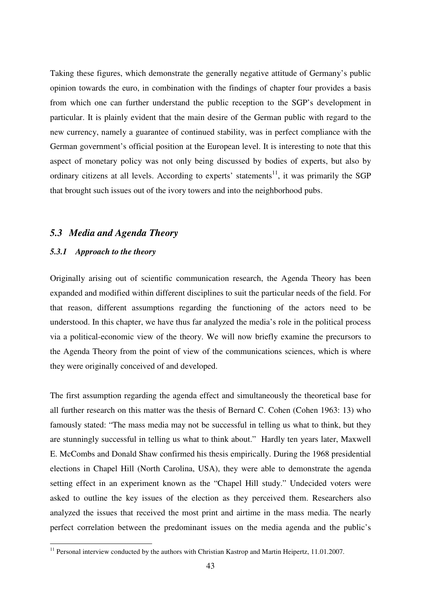Taking these figures, which demonstrate the generally negative attitude of Germany's public opinion towards the euro, in combination with the findings of chapter four provides a basis from which one can further understand the public reception to the SGP's development in particular. It is plainly evident that the main desire of the German public with regard to the new currency, namely a guarantee of continued stability, was in perfect compliance with the German government's official position at the European level. It is interesting to note that this aspect of monetary policy was not only being discussed by bodies of experts, but also by ordinary citizens at all levels. According to experts' statements<sup>11</sup>, it was primarily the SGP that brought such issues out of the ivory towers and into the neighborhood pubs.

#### *5.3 Media and Agenda Theory*

#### *5.3.1 Approach to the theory*

 $\overline{a}$ 

Originally arising out of scientific communication research, the Agenda Theory has been expanded and modified within different disciplines to suit the particular needs of the field. For that reason, different assumptions regarding the functioning of the actors need to be understood. In this chapter, we have thus far analyzed the media's role in the political process via a political-economic view of the theory. We will now briefly examine the precursors to the Agenda Theory from the point of view of the communications sciences, which is where they were originally conceived of and developed.

The first assumption regarding the agenda effect and simultaneously the theoretical base for all further research on this matter was the thesis of Bernard C. Cohen (Cohen 1963: 13) who famously stated: "The mass media may not be successful in telling us what to think, but they are stunningly successful in telling us what to think about." Hardly ten years later, Maxwell E. McCombs and Donald Shaw confirmed his thesis empirically. During the 1968 presidential elections in Chapel Hill (North Carolina, USA), they were able to demonstrate the agenda setting effect in an experiment known as the "Chapel Hill study." Undecided voters were asked to outline the key issues of the election as they perceived them. Researchers also analyzed the issues that received the most print and airtime in the mass media. The nearly perfect correlation between the predominant issues on the media agenda and the public's

<sup>&</sup>lt;sup>11</sup> Personal interview conducted by the authors with Christian Kastrop and Martin Heipertz, 11.01.2007.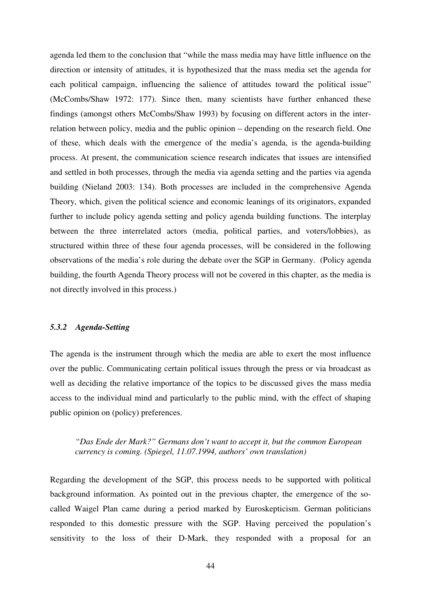agenda led them to the conclusion that "while the mass media may have little influence on the direction or intensity of attitudes, it is hypothesized that the mass media set the agenda for each political campaign, influencing the salience of attitudes toward the political issue" (McCombs/Shaw 1972: 177). Since then, many scientists have further enhanced these findings (amongst others McCombs/Shaw 1993) by focusing on different actors in the interrelation between policy, media and the public opinion – depending on the research field. One of these, which deals with the emergence of the media's agenda, is the agenda-building process. At present, the communication science research indicates that issues are intensified and settled in both processes, through the media via agenda setting and the parties via agenda building (Nieland 2003: 134). Both processes are included in the comprehensive Agenda Theory, which, given the political science and economic leanings of its originators, expanded further to include policy agenda setting and policy agenda building functions. The interplay between the three interrelated actors (media, political parties, and voters/lobbies), as structured within three of these four agenda processes, will be considered in the following observations of the media's role during the debate over the SGP in Germany. (Policy agenda building, the fourth Agenda Theory process will not be covered in this chapter, as the media is not directly involved in this process.)

#### *5.3.2 Agenda-Setting*

The agenda is the instrument through which the media are able to exert the most influence over the public. Communicating certain political issues through the press or via broadcast as well as deciding the relative importance of the topics to be discussed gives the mass media access to the individual mind and particularly to the public mind, with the effect of shaping public opinion on (policy) preferences.

### *"Das Ende der Mark?" Germans don't want to accept it, but the common European currency is coming. (Spiegel, 11.07.1994, authors' own translation)*

Regarding the development of the SGP, this process needs to be supported with political background information. As pointed out in the previous chapter, the emergence of the socalled Waigel Plan came during a period marked by Euroskepticism. German politicians responded to this domestic pressure with the SGP. Having perceived the population's sensitivity to the loss of their D-Mark, they responded with a proposal for an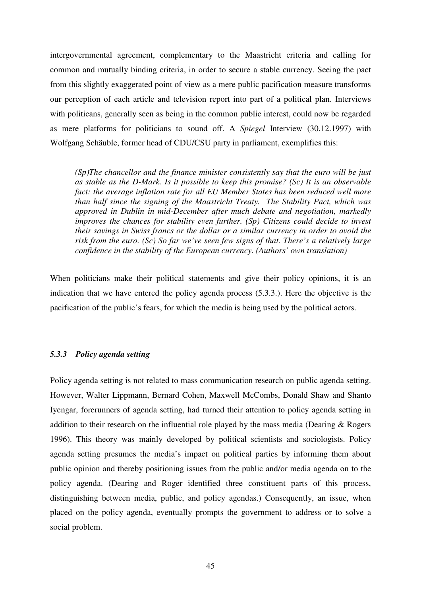intergovernmental agreement, complementary to the Maastricht criteria and calling for common and mutually binding criteria, in order to secure a stable currency. Seeing the pact from this slightly exaggerated point of view as a mere public pacification measure transforms our perception of each article and television report into part of a political plan. Interviews with politicans, generally seen as being in the common public interest, could now be regarded as mere platforms for politicians to sound off. A *Spiegel* Interview (30.12.1997) with Wolfgang Schäuble, former head of CDU/CSU party in parliament, exemplifies this:

*(Sp)The chancellor and the finance minister consistently say that the euro will be just as stable as the D-Mark. Is it possible to keep this promise? (Sc) It is an observable fact: the average inflation rate for all EU Member States has been reduced well more than half since the signing of the Maastricht Treaty. The Stability Pact, which was approved in Dublin in mid-December after much debate and negotiation, markedly improves the chances for stability even further. (Sp) Citizens could decide to invest their savings in Swiss francs or the dollar or a similar currency in order to avoid the risk from the euro. (Sc) So far we've seen few signs of that. There's a relatively large confidence in the stability of the European currency. (Authors' own translation)* 

When politicians make their political statements and give their policy opinions, it is an indication that we have entered the policy agenda process (5.3.3.). Here the objective is the pacification of the public's fears, for which the media is being used by the political actors.

#### *5.3.3 Policy agenda setting*

Policy agenda setting is not related to mass communication research on public agenda setting. However, Walter Lippmann, Bernard Cohen, Maxwell McCombs, Donald Shaw and Shanto Iyengar, forerunners of agenda setting, had turned their attention to policy agenda setting in addition to their research on the influential role played by the mass media (Dearing & Rogers 1996). This theory was mainly developed by political scientists and sociologists. Policy agenda setting presumes the media's impact on political parties by informing them about public opinion and thereby positioning issues from the public and/or media agenda on to the policy agenda. (Dearing and Roger identified three constituent parts of this process, distinguishing between media, public, and policy agendas.) Consequently, an issue, when placed on the policy agenda, eventually prompts the government to address or to solve a social problem.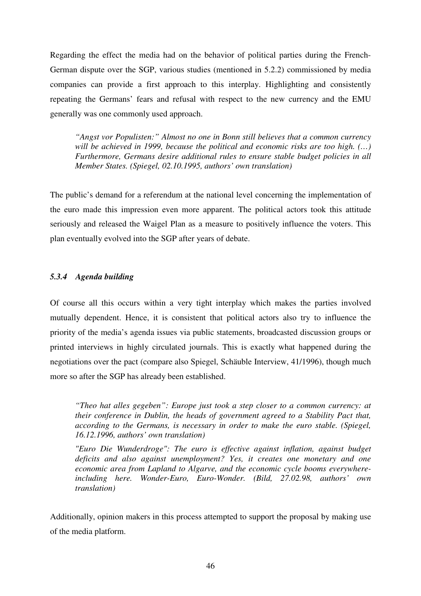Regarding the effect the media had on the behavior of political parties during the French-German dispute over the SGP, various studies (mentioned in 5.2.2) commissioned by media companies can provide a first approach to this interplay. Highlighting and consistently repeating the Germans' fears and refusal with respect to the new currency and the EMU generally was one commonly used approach.

*"Angst vor Populisten:" Almost no one in Bonn still believes that a common currency will be achieved in 1999, because the political and economic risks are too high. (…) Furthermore, Germans desire additional rules to ensure stable budget policies in all Member States. (Spiegel, 02.10.1995, authors' own translation)* 

The public's demand for a referendum at the national level concerning the implementation of the euro made this impression even more apparent. The political actors took this attitude seriously and released the Waigel Plan as a measure to positively influence the voters. This plan eventually evolved into the SGP after years of debate.

### *5.3.4 Agenda building*

Of course all this occurs within a very tight interplay which makes the parties involved mutually dependent. Hence, it is consistent that political actors also try to influence the priority of the media's agenda issues via public statements, broadcasted discussion groups or printed interviews in highly circulated journals. This is exactly what happened during the negotiations over the pact (compare also Spiegel, Schäuble Interview, 41/1996), though much more so after the SGP has already been established.

*"Theo hat alles gegeben": Europe just took a step closer to a common currency: at their conference in Dublin, the heads of government agreed to a Stability Pact that, according to the Germans, is necessary in order to make the euro stable. (Spiegel, 16.12.1996, authors' own translation)* 

*"Euro Die Wunderdroge": The euro is effective against inflation, against budget deficits and also against unemployment? Yes, it creates one monetary and one economic area from Lapland to Algarve, and the economic cycle booms everywhereincluding here. Wonder-Euro, Euro-Wonder. (Bild, 27.02.98, authors' own translation)* 

Additionally, opinion makers in this process attempted to support the proposal by making use of the media platform.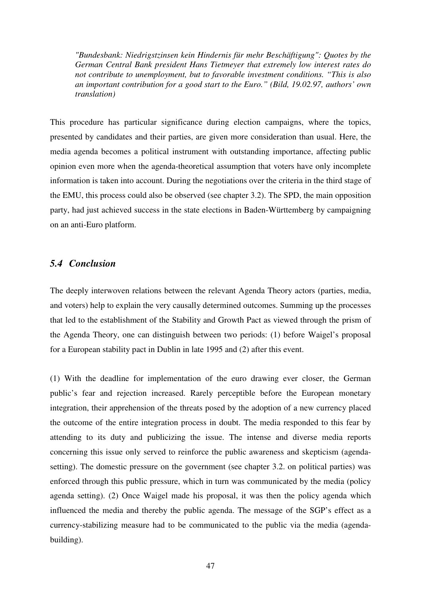*"Bundesbank: Niedrigstzinsen kein Hindernis für mehr Beschäftigung": Quotes by the German Central Bank president Hans Tietmeyer that extremely low interest rates do not contribute to unemployment, but to favorable investment conditions. "This is also an important contribution for a good start to the Euro." (Bild, 19.02.97, authors' own translation)* 

This procedure has particular significance during election campaigns, where the topics, presented by candidates and their parties, are given more consideration than usual. Here, the media agenda becomes a political instrument with outstanding importance, affecting public opinion even more when the agenda-theoretical assumption that voters have only incomplete information is taken into account. During the negotiations over the criteria in the third stage of the EMU, this process could also be observed (see chapter 3.2). The SPD, the main opposition party, had just achieved success in the state elections in Baden-Württemberg by campaigning on an anti-Euro platform.

### *5.4 Conclusion*

The deeply interwoven relations between the relevant Agenda Theory actors (parties, media, and voters) help to explain the very causally determined outcomes. Summing up the processes that led to the establishment of the Stability and Growth Pact as viewed through the prism of the Agenda Theory, one can distinguish between two periods: (1) before Waigel's proposal for a European stability pact in Dublin in late 1995 and (2) after this event.

(1) With the deadline for implementation of the euro drawing ever closer, the German public's fear and rejection increased. Rarely perceptible before the European monetary integration, their apprehension of the threats posed by the adoption of a new currency placed the outcome of the entire integration process in doubt. The media responded to this fear by attending to its duty and publicizing the issue. The intense and diverse media reports concerning this issue only served to reinforce the public awareness and skepticism (agendasetting). The domestic pressure on the government (see chapter 3.2. on political parties) was enforced through this public pressure, which in turn was communicated by the media (policy agenda setting). (2) Once Waigel made his proposal, it was then the policy agenda which influenced the media and thereby the public agenda. The message of the SGP's effect as a currency-stabilizing measure had to be communicated to the public via the media (agendabuilding).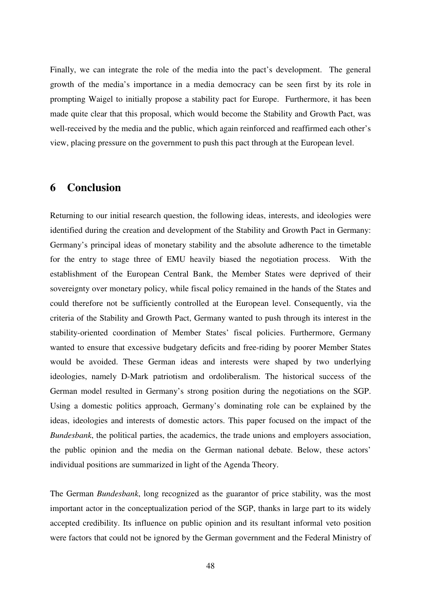Finally, we can integrate the role of the media into the pact's development. The general growth of the media's importance in a media democracy can be seen first by its role in prompting Waigel to initially propose a stability pact for Europe. Furthermore, it has been made quite clear that this proposal, which would become the Stability and Growth Pact, was well-received by the media and the public, which again reinforced and reaffirmed each other's view, placing pressure on the government to push this pact through at the European level.

### **6 Conclusion**

Returning to our initial research question, the following ideas, interests, and ideologies were identified during the creation and development of the Stability and Growth Pact in Germany: Germany's principal ideas of monetary stability and the absolute adherence to the timetable for the entry to stage three of EMU heavily biased the negotiation process. With the establishment of the European Central Bank, the Member States were deprived of their sovereignty over monetary policy, while fiscal policy remained in the hands of the States and could therefore not be sufficiently controlled at the European level. Consequently, via the criteria of the Stability and Growth Pact, Germany wanted to push through its interest in the stability-oriented coordination of Member States' fiscal policies. Furthermore, Germany wanted to ensure that excessive budgetary deficits and free-riding by poorer Member States would be avoided. These German ideas and interests were shaped by two underlying ideologies, namely D-Mark patriotism and ordoliberalism. The historical success of the German model resulted in Germany's strong position during the negotiations on the SGP. Using a domestic politics approach, Germany's dominating role can be explained by the ideas, ideologies and interests of domestic actors. This paper focused on the impact of the *Bundesbank*, the political parties, the academics, the trade unions and employers association, the public opinion and the media on the German national debate. Below, these actors' individual positions are summarized in light of the Agenda Theory.

The German *Bundesbank*, long recognized as the guarantor of price stability, was the most important actor in the conceptualization period of the SGP, thanks in large part to its widely accepted credibility. Its influence on public opinion and its resultant informal veto position were factors that could not be ignored by the German government and the Federal Ministry of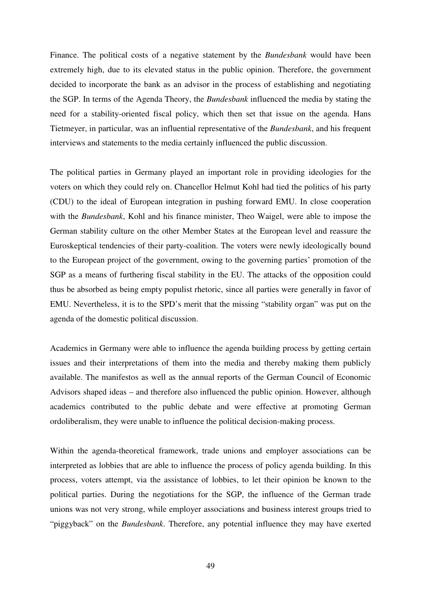Finance. The political costs of a negative statement by the *Bundesbank* would have been extremely high, due to its elevated status in the public opinion. Therefore, the government decided to incorporate the bank as an advisor in the process of establishing and negotiating the SGP. In terms of the Agenda Theory, the *Bundesbank* influenced the media by stating the need for a stability-oriented fiscal policy, which then set that issue on the agenda. Hans Tietmeyer, in particular, was an influential representative of the *Bundesbank*, and his frequent interviews and statements to the media certainly influenced the public discussion.

The political parties in Germany played an important role in providing ideologies for the voters on which they could rely on. Chancellor Helmut Kohl had tied the politics of his party (CDU) to the ideal of European integration in pushing forward EMU. In close cooperation with the *Bundesbank*, Kohl and his finance minister, Theo Waigel, were able to impose the German stability culture on the other Member States at the European level and reassure the Euroskeptical tendencies of their party-coalition. The voters were newly ideologically bound to the European project of the government, owing to the governing parties' promotion of the SGP as a means of furthering fiscal stability in the EU. The attacks of the opposition could thus be absorbed as being empty populist rhetoric, since all parties were generally in favor of EMU. Nevertheless, it is to the SPD's merit that the missing "stability organ" was put on the agenda of the domestic political discussion.

Academics in Germany were able to influence the agenda building process by getting certain issues and their interpretations of them into the media and thereby making them publicly available. The manifestos as well as the annual reports of the German Council of Economic Advisors shaped ideas – and therefore also influenced the public opinion. However, although academics contributed to the public debate and were effective at promoting German ordoliberalism, they were unable to influence the political decision-making process.

Within the agenda-theoretical framework, trade unions and employer associations can be interpreted as lobbies that are able to influence the process of policy agenda building. In this process, voters attempt, via the assistance of lobbies, to let their opinion be known to the political parties. During the negotiations for the SGP, the influence of the German trade unions was not very strong, while employer associations and business interest groups tried to "piggyback" on the *Bundesbank*. Therefore, any potential influence they may have exerted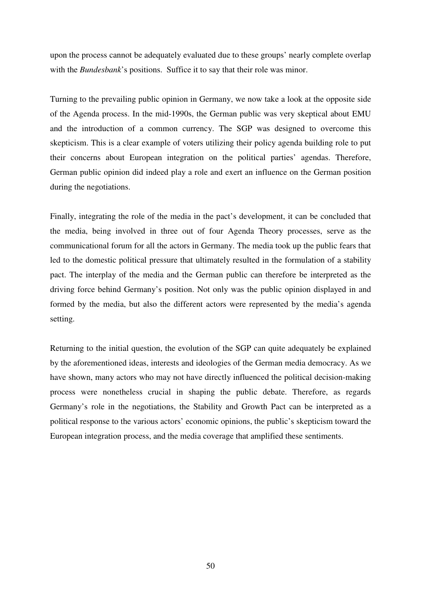upon the process cannot be adequately evaluated due to these groups' nearly complete overlap with the *Bundesbank*'s positions. Suffice it to say that their role was minor.

Turning to the prevailing public opinion in Germany, we now take a look at the opposite side of the Agenda process. In the mid-1990s, the German public was very skeptical about EMU and the introduction of a common currency. The SGP was designed to overcome this skepticism. This is a clear example of voters utilizing their policy agenda building role to put their concerns about European integration on the political parties' agendas. Therefore, German public opinion did indeed play a role and exert an influence on the German position during the negotiations.

Finally, integrating the role of the media in the pact's development, it can be concluded that the media, being involved in three out of four Agenda Theory processes, serve as the communicational forum for all the actors in Germany. The media took up the public fears that led to the domestic political pressure that ultimately resulted in the formulation of a stability pact. The interplay of the media and the German public can therefore be interpreted as the driving force behind Germany's position. Not only was the public opinion displayed in and formed by the media, but also the different actors were represented by the media's agenda setting.

Returning to the initial question, the evolution of the SGP can quite adequately be explained by the aforementioned ideas, interests and ideologies of the German media democracy. As we have shown, many actors who may not have directly influenced the political decision-making process were nonetheless crucial in shaping the public debate. Therefore, as regards Germany's role in the negotiations, the Stability and Growth Pact can be interpreted as a political response to the various actors' economic opinions, the public's skepticism toward the European integration process, and the media coverage that amplified these sentiments.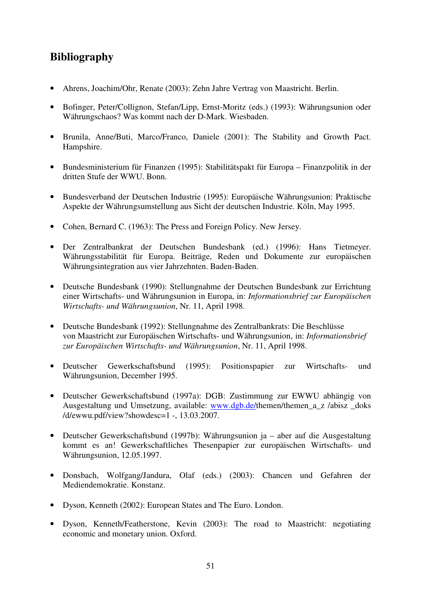## **Bibliography**

- Ahrens, Joachim/Ohr, Renate (2003): Zehn Jahre Vertrag von Maastricht. Berlin.
- Bofinger, Peter/Collignon, Stefan/Lipp, Ernst-Moritz (eds.) (1993): Währungsunion oder Währungschaos? Was kommt nach der D-Mark. Wiesbaden.
- Brunila, Anne/Buti, Marco/Franco, Daniele (2001): The Stability and Growth Pact. Hampshire.
- Bundesministerium für Finanzen (1995): Stabilitätspakt für Europa Finanzpolitik in der dritten Stufe der WWU. Bonn.
- Bundesverband der Deutschen Industrie (1995): Europäische Währungsunion: Praktische Aspekte der Währungsumstellung aus Sicht der deutschen Industrie. Köln, May 1995.
- Cohen, Bernard C. (1963): The Press and Foreign Policy. New Jersey.
- Der Zentralbankrat der Deutschen Bundesbank (ed.) (1996): Hans Tietmeyer. Währungsstabilität für Europa. Beiträge, Reden und Dokumente zur europäischen Währungsintegration aus vier Jahrzehnten. Baden-Baden.
- Deutsche Bundesbank (1990): Stellungnahme der Deutschen Bundesbank zur Errichtung einer Wirtschafts- und Währungsunion in Europa, in: *Informationsbrief zur Europäischen Wirtschafts- und Währungsunion*, Nr. 11, April 1998.
- Deutsche Bundesbank (1992): Stellungnahme des Zentralbankrats: Die Beschlüsse von Maastricht zur Europäischen Wirtschafts- und Währungsunion, in: *Informationsbrief zur Europäischen Wirtschafts- und Währungsunion*, Nr. 11, April 1998.
- Deutscher Gewerkschaftsbund (1995): Positionspapier zur Wirtschafts- und Währungsunion, December 1995.
- Deutscher Gewerkschaftsbund (1997a): DGB: Zustimmung zur EWWU abhängig von Ausgestaltung und Umsetzung, available: www.dgb.de/themen/themen\_a\_z /abisz \_doks /d/ewwu.pdf/view?showdesc=1 -, 13.03.2007.
- Deutscher Gewerkschaftsbund (1997b): Währungsunion ja aber auf die Ausgestaltung kommt es an! Gewerkschaftliches Thesenpapier zur europäischen Wirtschafts- und Währungsunion, 12.05.1997.
- Donsbach, Wolfgang/Jandura, Olaf (eds.) (2003): Chancen und Gefahren der Mediendemokratie. Konstanz.
- Dyson, Kenneth (2002): European States and The Euro. London.
- Dyson, Kenneth/Featherstone, Kevin (2003): The road to Maastricht: negotiating economic and monetary union. Oxford.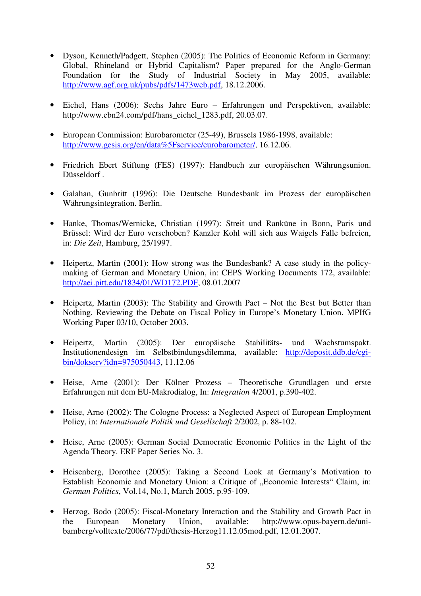- Dyson, Kenneth/Padgett, Stephen (2005): The Politics of Economic Reform in Germany: Global, Rhineland or Hybrid Capitalism? Paper prepared for the Anglo-German Foundation for the Study of Industrial Society in May 2005, available: http://www.agf.org.uk/pubs/pdfs/1473web.pdf, 18.12.2006.
- Eichel, Hans (2006): Sechs Jahre Euro Erfahrungen und Perspektiven, available: http://www.ebn24.com/pdf/hans\_eichel\_1283.pdf, 20.03.07.
- European Commission: Eurobarometer (25-49), Brussels 1986-1998, available: http://www.gesis.org/en/data%5Fservice/eurobarometer/, 16.12.06.
- Friedrich Ebert Stiftung (FES) (1997): Handbuch zur europäischen Währungsunion. Düsseldorf .
- Galahan, Gunbritt (1996): Die Deutsche Bundesbank im Prozess der europäischen Währungsintegration. Berlin.
- Hanke, Thomas/Wernicke, Christian (1997): Streit und Ranküne in Bonn, Paris und Brüssel: Wird der Euro verschoben? Kanzler Kohl will sich aus Waigels Falle befreien, in: *Die Zeit*, Hamburg, 25/1997.
- Heipertz, Martin (2001): How strong was the Bundesbank? A case study in the policymaking of German and Monetary Union, in: CEPS Working Documents 172, available: http://aei.pitt.edu/1834/01/WD172.PDF, 08.01.2007
- Heipertz, Martin (2003): The Stability and Growth Pact Not the Best but Better than Nothing. Reviewing the Debate on Fiscal Policy in Europe's Monetary Union. MPIfG Working Paper 03/10, October 2003.
- Heipertz, Martin (2005): Der europäische Stabilitäts- und Wachstumspakt. Institutionendesign im Selbstbindungsdilemma, available: http://deposit.ddb.de/cgibin/dokserv?idn=975050443, 11.12.06
- Heise, Arne (2001): Der Kölner Prozess Theoretische Grundlagen und erste Erfahrungen mit dem EU-Makrodialog, In: *Integration* 4/2001, p.390-402.
- Heise, Arne (2002): The Cologne Process: a Neglected Aspect of European Employment Policy, in: *Internationale Politik und Gesellschaft* 2/2002, p. 88-102.
- Heise, Arne (2005): German Social Democratic Economic Politics in the Light of the Agenda Theory. ERF Paper Series No. 3.
- Heisenberg, Dorothee (2005): Taking a Second Look at Germany's Motivation to Establish Economic and Monetary Union: a Critique of "Economic Interests" Claim, in: *German Politics*, Vol.14, No.1, March 2005, p.95-109.
- Herzog, Bodo (2005): Fiscal-Monetary Interaction and the Stability and Growth Pact in the European Monetary Union, available: http://www.opus-bayern.de/unibamberg/volltexte/2006/77/pdf/thesis-Herzog11.12.05mod.pdf, 12.01.2007.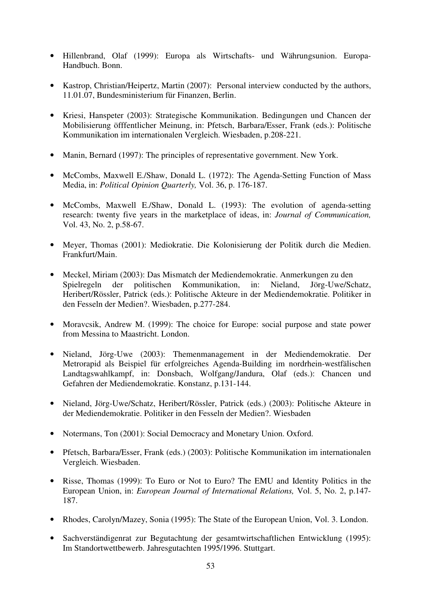- Hillenbrand, Olaf (1999): Europa als Wirtschafts- und Währungsunion. Europa-Handbuch. Bonn.
- Kastrop, Christian/Heipertz, Martin (2007): Personal interview conducted by the authors, 11.01.07, Bundesministerium für Finanzen, Berlin.
- Kriesi, Hanspeter (2003): Strategische Kommunikation. Bedingungen und Chancen der Mobilisierung öfffentlicher Meinung, in: Pfetsch, Barbara/Esser, Frank (eds.): Politische Kommunikation im internationalen Vergleich. Wiesbaden, p.208-221.
- Manin, Bernard (1997): The principles of representative government. New York.
- McCombs, Maxwell E./Shaw, Donald L. (1972): The Agenda-Setting Function of Mass Media, in: *Political Opinion Quarterly,* Vol. 36, p. 176-187.
- McCombs, Maxwell E./Shaw, Donald L. (1993): The evolution of agenda-setting research: twenty five years in the marketplace of ideas, in: *Journal of Communication,*  Vol. 43, No. 2, p.58-67.
- Meyer, Thomas (2001): Mediokratie. Die Kolonisierung der Politik durch die Medien. Frankfurt/Main.
- Meckel, Miriam (2003): Das Mismatch der Mediendemokratie. Anmerkungen zu den Spielregeln der politischen Kommunikation, in: Nieland, Jörg-Uwe/Schatz, Heribert/Rössler, Patrick (eds.): Politische Akteure in der Mediendemokratie. Politiker in den Fesseln der Medien?. Wiesbaden, p.277-284.
- Moravcsik, Andrew M. (1999): The choice for Europe: social purpose and state power from Messina to Maastricht. London.
- Nieland, Jörg-Uwe (2003): Themenmanagement in der Mediendemokratie. Der Metrorapid als Beispiel für erfolgreiches Agenda-Building im nordrhein-westfälischen Landtagswahlkampf, in: Donsbach, Wolfgang/Jandura, Olaf (eds.): Chancen und Gefahren der Mediendemokratie. Konstanz, p.131-144.
- Nieland, Jörg-Uwe/Schatz, Heribert/Rössler, Patrick (eds.) (2003): Politische Akteure in der Mediendemokratie. Politiker in den Fesseln der Medien?. Wiesbaden
- Notermans, Ton (2001): Social Democracy and Monetary Union. Oxford.
- Pfetsch, Barbara/Esser, Frank (eds.) (2003): Politische Kommunikation im internationalen Vergleich. Wiesbaden.
- Risse, Thomas (1999): To Euro or Not to Euro? The EMU and Identity Politics in the European Union, in: *European Journal of International Relations,* Vol. 5, No. 2, p.147- 187.
- Rhodes, Carolyn/Mazey, Sonia (1995): The State of the European Union, Vol. 3. London.
- Sachverständigenrat zur Begutachtung der gesamtwirtschaftlichen Entwicklung (1995): Im Standortwettbewerb. Jahresgutachten 1995/1996. Stuttgart.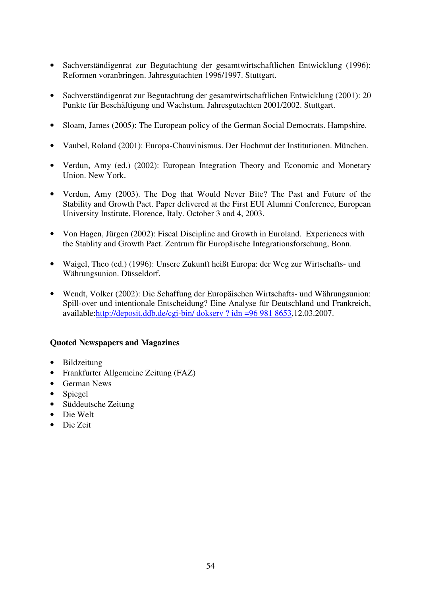- Sachverständigenrat zur Begutachtung der gesamtwirtschaftlichen Entwicklung (1996): Reformen voranbringen. Jahresgutachten 1996/1997. Stuttgart.
- Sachverständigenrat zur Begutachtung der gesamtwirtschaftlichen Entwicklung (2001): 20 Punkte für Beschäftigung und Wachstum. Jahresgutachten 2001/2002. Stuttgart.
- Sloam, James (2005): The European policy of the German Social Democrats. Hampshire.
- Vaubel, Roland (2001): Europa-Chauvinismus. Der Hochmut der Institutionen. München.
- Verdun, Amy (ed.) (2002): European Integration Theory and Economic and Monetary Union. New York.
- Verdun, Amy (2003). The Dog that Would Never Bite? The Past and Future of the Stability and Growth Pact. Paper delivered at the First EUI Alumni Conference, European University Institute, Florence, Italy. October 3 and 4, 2003.
- Von Hagen, Jürgen (2002): Fiscal Discipline and Growth in Euroland. Experiences with the Stablity and Growth Pact. Zentrum für Europäische Integrationsforschung, Bonn.
- Waigel, Theo (ed.) (1996): Unsere Zukunft heißt Europa: der Weg zur Wirtschafts- und Währungsunion. Düsseldorf.
- Wendt, Volker (2002): Die Schaffung der Europäischen Wirtschafts- und Währungsunion: Spill-over und intentionale Entscheidung? Eine Analyse für Deutschland und Frankreich, available:http://deposit.ddb.de/cgi-bin/ dokserv ? idn =96 981 8653,12.03.2007.

### **Quoted Newspapers and Magazines**

- Bildzeitung
- Frankfurter Allgemeine Zeitung (FAZ)
- German News
- Spiegel
- Süddeutsche Zeitung
- Die Welt
- Die Zeit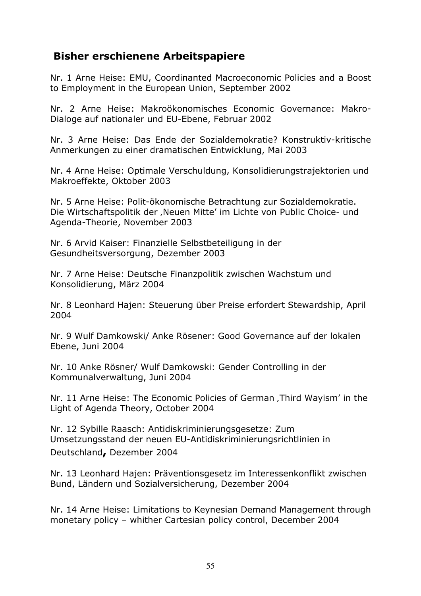## Bisher erschienene Arbeitspapiere

Nr. 1 Arne Heise: EMU, Coordinanted Macroeconomic Policies and a Boost to Employment in the European Union, September 2002

Nr. 2 Arne Heise: Makroökonomisches Economic Governance: Makro-Dialoge auf nationaler und EU-Ebene, Februar 2002

Nr. 3 Arne Heise: Das Ende der Sozialdemokratie? Konstruktiv-kritische Anmerkungen zu einer dramatischen Entwicklung, Mai 2003

Nr. 4 Arne Heise: Optimale Verschuldung, Konsolidierungstrajektorien und Makroeffekte, Oktober 2003

Nr. 5 Arne Heise: Polit-ökonomische Betrachtung zur Sozialdemokratie. Die Wirtschaftspolitik der "Neuen Mitte' im Lichte von Public Choice- und Agenda-Theorie, November 2003

Nr. 6 Arvid Kaiser: Finanzielle Selbstbeteiligung in der Gesundheitsversorgung, Dezember 2003

Nr. 7 Arne Heise: Deutsche Finanzpolitik zwischen Wachstum und Konsolidierung, März 2004

Nr. 8 Leonhard Hajen: Steuerung über Preise erfordert Stewardship, April 2004

Nr. 9 Wulf Damkowski/ Anke Rösener: Good Governance auf der lokalen Ebene, Juni 2004

Nr. 10 Anke Rösner/ Wulf Damkowski: Gender Controlling in der Kommunalverwaltung, Juni 2004

Nr. 11 Arne Heise: The Economic Policies of German, Third Wayism' in the Light of Agenda Theory, October 2004

Nr. 12 Sybille Raasch: Antidiskriminierungsgesetze: Zum Umsetzungsstand der neuen EU-Antidiskriminierungsrichtlinien in Deutschland, Dezember 2004

Nr. 13 Leonhard Hajen: Präventionsgesetz im Interessenkonflikt zwischen Bund, Ländern und Sozialversicherung, Dezember 2004

Nr. 14 Arne Heise: Limitations to Keynesian Demand Management through monetary policy – whither Cartesian policy control, December 2004